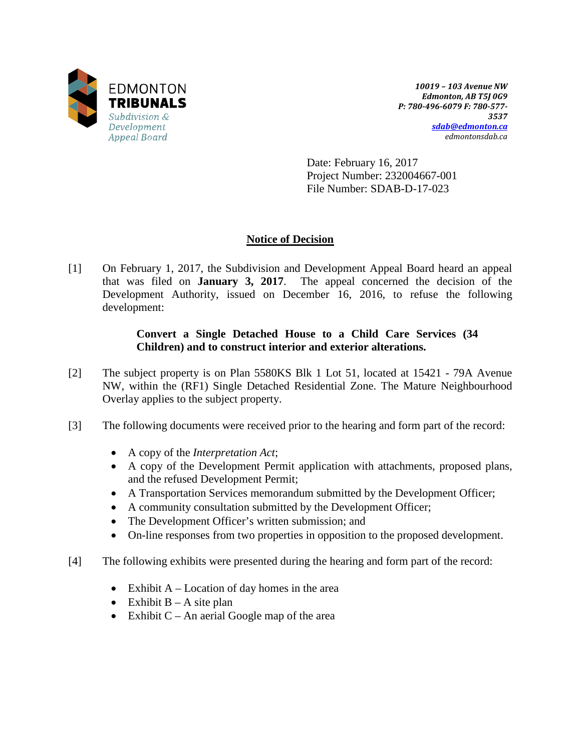

*10019 – 103 Avenue NW Edmonton, AB T5J 0G9 P: 780-496-6079 F: 780-577- 3537 [sdab@edmonton.ca](mailto:sdab@edmonton.ca) edmontonsdab.ca*

Date: February 16, 2017 Project Number: 232004667-001 File Number: SDAB-D-17-023

# **Notice of Decision**

[1] On February 1, 2017, the Subdivision and Development Appeal Board heard an appeal that was filed on **January 3, 2017**. The appeal concerned the decision of the Development Authority, issued on December 16, 2016, to refuse the following development:

# **Convert a Single Detached House to a Child Care Services (34 Children) and to construct interior and exterior alterations.**

- [2] The subject property is on Plan 5580KS Blk 1 Lot 51, located at 15421 79A Avenue NW, within the (RF1) Single Detached Residential Zone. The Mature Neighbourhood Overlay applies to the subject property.
- [3] The following documents were received prior to the hearing and form part of the record:
	- A copy of the *Interpretation Act*;
	- A copy of the Development Permit application with attachments, proposed plans, and the refused Development Permit;
	- A Transportation Services memorandum submitted by the Development Officer;
	- A community consultation submitted by the Development Officer;
	- The Development Officer's written submission; and
	- On-line responses from two properties in opposition to the proposed development.
- [4] The following exhibits were presented during the hearing and form part of the record:
	- Exhibit  $A -$ Location of day homes in the area
	- Exhibit  $B A$  site plan
	- Exhibit  $C An$  aerial Google map of the area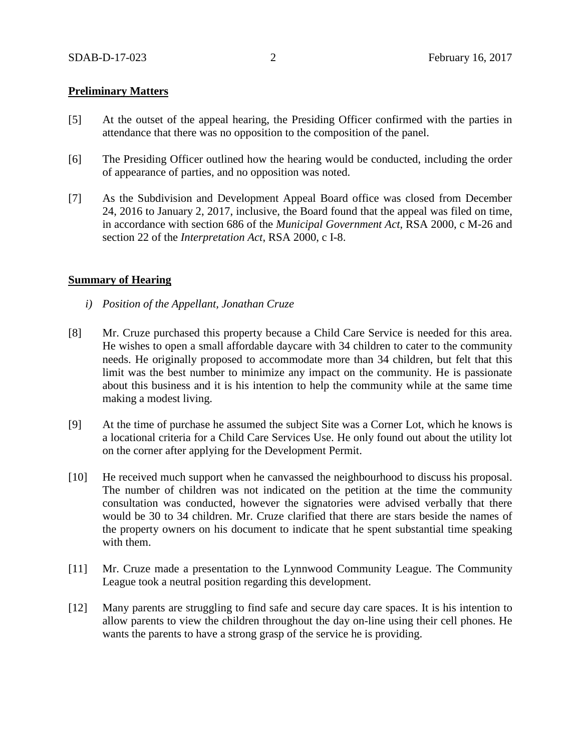### **Preliminary Matters**

- [5] At the outset of the appeal hearing, the Presiding Officer confirmed with the parties in attendance that there was no opposition to the composition of the panel.
- [6] The Presiding Officer outlined how the hearing would be conducted, including the order of appearance of parties, and no opposition was noted.
- [7] As the Subdivision and Development Appeal Board office was closed from December 24, 2016 to January 2, 2017, inclusive, the Board found that the appeal was filed on time, in accordance with section 686 of the *Municipal Government Act*, RSA 2000, c M-26 and section 22 of the *Interpretation Act*, RSA 2000, c I-8.

#### **Summary of Hearing**

- *i) Position of the Appellant, Jonathan Cruze*
- [8] Mr. Cruze purchased this property because a Child Care Service is needed for this area. He wishes to open a small affordable daycare with 34 children to cater to the community needs. He originally proposed to accommodate more than 34 children, but felt that this limit was the best number to minimize any impact on the community. He is passionate about this business and it is his intention to help the community while at the same time making a modest living.
- [9] At the time of purchase he assumed the subject Site was a Corner Lot, which he knows is a locational criteria for a Child Care Services Use. He only found out about the utility lot on the corner after applying for the Development Permit.
- [10] He received much support when he canvassed the neighbourhood to discuss his proposal. The number of children was not indicated on the petition at the time the community consultation was conducted, however the signatories were advised verbally that there would be 30 to 34 children. Mr. Cruze clarified that there are stars beside the names of the property owners on his document to indicate that he spent substantial time speaking with them.
- [11] Mr. Cruze made a presentation to the Lynnwood Community League. The Community League took a neutral position regarding this development.
- [12] Many parents are struggling to find safe and secure day care spaces. It is his intention to allow parents to view the children throughout the day on-line using their cell phones. He wants the parents to have a strong grasp of the service he is providing.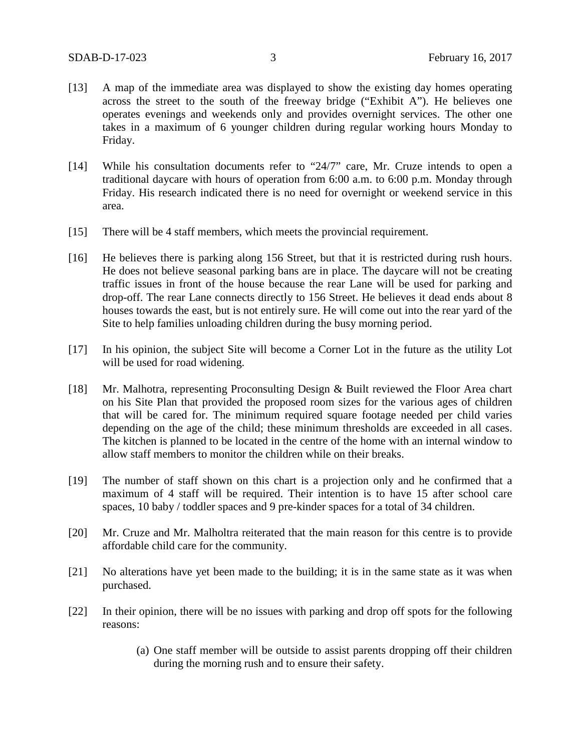- [13] A map of the immediate area was displayed to show the existing day homes operating across the street to the south of the freeway bridge ("Exhibit A"). He believes one operates evenings and weekends only and provides overnight services. The other one takes in a maximum of 6 younger children during regular working hours Monday to Friday.
- [14] While his consultation documents refer to "24/7" care, Mr. Cruze intends to open a traditional daycare with hours of operation from 6:00 a.m. to 6:00 p.m. Monday through Friday. His research indicated there is no need for overnight or weekend service in this area.
- [15] There will be 4 staff members, which meets the provincial requirement.
- [16] He believes there is parking along 156 Street, but that it is restricted during rush hours. He does not believe seasonal parking bans are in place. The daycare will not be creating traffic issues in front of the house because the rear Lane will be used for parking and drop-off. The rear Lane connects directly to 156 Street. He believes it dead ends about 8 houses towards the east, but is not entirely sure. He will come out into the rear yard of the Site to help families unloading children during the busy morning period.
- [17] In his opinion, the subject Site will become a Corner Lot in the future as the utility Lot will be used for road widening.
- [18] Mr. Malhotra, representing Proconsulting Design & Built reviewed the Floor Area chart on his Site Plan that provided the proposed room sizes for the various ages of children that will be cared for. The minimum required square footage needed per child varies depending on the age of the child; these minimum thresholds are exceeded in all cases. The kitchen is planned to be located in the centre of the home with an internal window to allow staff members to monitor the children while on their breaks.
- [19] The number of staff shown on this chart is a projection only and he confirmed that a maximum of 4 staff will be required. Their intention is to have 15 after school care spaces, 10 baby / toddler spaces and 9 pre-kinder spaces for a total of 34 children.
- [20] Mr. Cruze and Mr. Malholtra reiterated that the main reason for this centre is to provide affordable child care for the community.
- [21] No alterations have yet been made to the building; it is in the same state as it was when purchased.
- [22] In their opinion, there will be no issues with parking and drop off spots for the following reasons:
	- (a) One staff member will be outside to assist parents dropping off their children during the morning rush and to ensure their safety.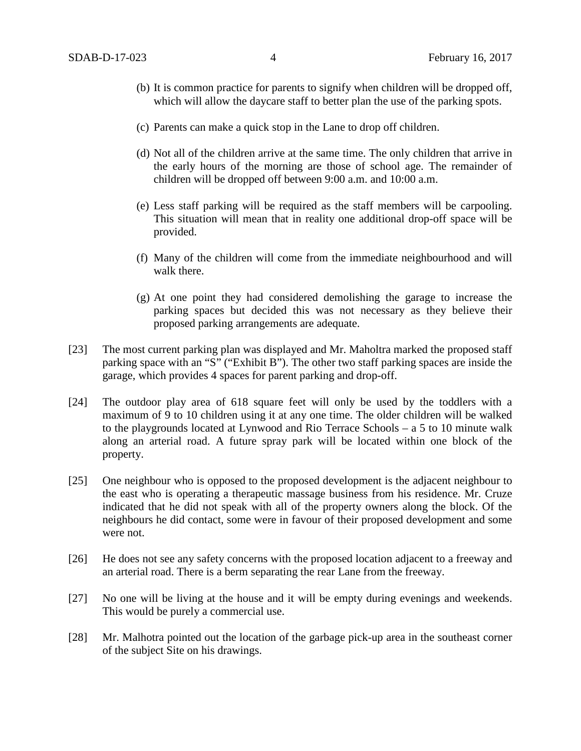- (b) It is common practice for parents to signify when children will be dropped off, which will allow the daycare staff to better plan the use of the parking spots.
- (c) Parents can make a quick stop in the Lane to drop off children.
- (d) Not all of the children arrive at the same time. The only children that arrive in the early hours of the morning are those of school age. The remainder of children will be dropped off between 9:00 a.m. and 10:00 a.m.
- (e) Less staff parking will be required as the staff members will be carpooling. This situation will mean that in reality one additional drop-off space will be provided.
- (f) Many of the children will come from the immediate neighbourhood and will walk there.
- (g) At one point they had considered demolishing the garage to increase the parking spaces but decided this was not necessary as they believe their proposed parking arrangements are adequate.
- [23] The most current parking plan was displayed and Mr. Maholtra marked the proposed staff parking space with an "S" ("Exhibit B"). The other two staff parking spaces are inside the garage, which provides 4 spaces for parent parking and drop-off.
- [24] The outdoor play area of 618 square feet will only be used by the toddlers with a maximum of 9 to 10 children using it at any one time. The older children will be walked to the playgrounds located at Lynwood and Rio Terrace Schools – a 5 to 10 minute walk along an arterial road. A future spray park will be located within one block of the property.
- [25] One neighbour who is opposed to the proposed development is the adjacent neighbour to the east who is operating a therapeutic massage business from his residence. Mr. Cruze indicated that he did not speak with all of the property owners along the block. Of the neighbours he did contact, some were in favour of their proposed development and some were not.
- [26] He does not see any safety concerns with the proposed location adjacent to a freeway and an arterial road. There is a berm separating the rear Lane from the freeway.
- [27] No one will be living at the house and it will be empty during evenings and weekends. This would be purely a commercial use.
- [28] Mr. Malhotra pointed out the location of the garbage pick-up area in the southeast corner of the subject Site on his drawings.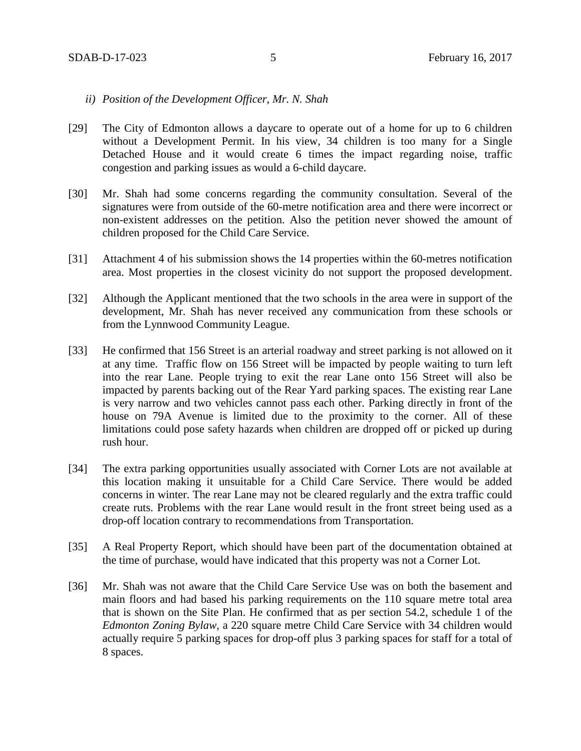### *ii) Position of the Development Officer, Mr. N. Shah*

- [29] The City of Edmonton allows a daycare to operate out of a home for up to 6 children without a Development Permit. In his view, 34 children is too many for a Single Detached House and it would create 6 times the impact regarding noise, traffic congestion and parking issues as would a 6-child daycare.
- [30] Mr. Shah had some concerns regarding the community consultation. Several of the signatures were from outside of the 60-metre notification area and there were incorrect or non-existent addresses on the petition. Also the petition never showed the amount of children proposed for the Child Care Service.
- [31] Attachment 4 of his submission shows the 14 properties within the 60-metres notification area. Most properties in the closest vicinity do not support the proposed development.
- [32] Although the Applicant mentioned that the two schools in the area were in support of the development, Mr. Shah has never received any communication from these schools or from the Lynnwood Community League.
- [33] He confirmed that 156 Street is an arterial roadway and street parking is not allowed on it at any time. Traffic flow on 156 Street will be impacted by people waiting to turn left into the rear Lane. People trying to exit the rear Lane onto 156 Street will also be impacted by parents backing out of the Rear Yard parking spaces. The existing rear Lane is very narrow and two vehicles cannot pass each other. Parking directly in front of the house on 79A Avenue is limited due to the proximity to the corner. All of these limitations could pose safety hazards when children are dropped off or picked up during rush hour.
- [34] The extra parking opportunities usually associated with Corner Lots are not available at this location making it unsuitable for a Child Care Service. There would be added concerns in winter. The rear Lane may not be cleared regularly and the extra traffic could create ruts. Problems with the rear Lane would result in the front street being used as a drop-off location contrary to recommendations from Transportation.
- [35] A Real Property Report, which should have been part of the documentation obtained at the time of purchase, would have indicated that this property was not a Corner Lot.
- [36] Mr. Shah was not aware that the Child Care Service Use was on both the basement and main floors and had based his parking requirements on the 110 square metre total area that is shown on the Site Plan. He confirmed that as per section 54.2, schedule 1 of the *Edmonton Zoning Bylaw,* a 220 square metre Child Care Service with 34 children would actually require 5 parking spaces for drop-off plus 3 parking spaces for staff for a total of 8 spaces.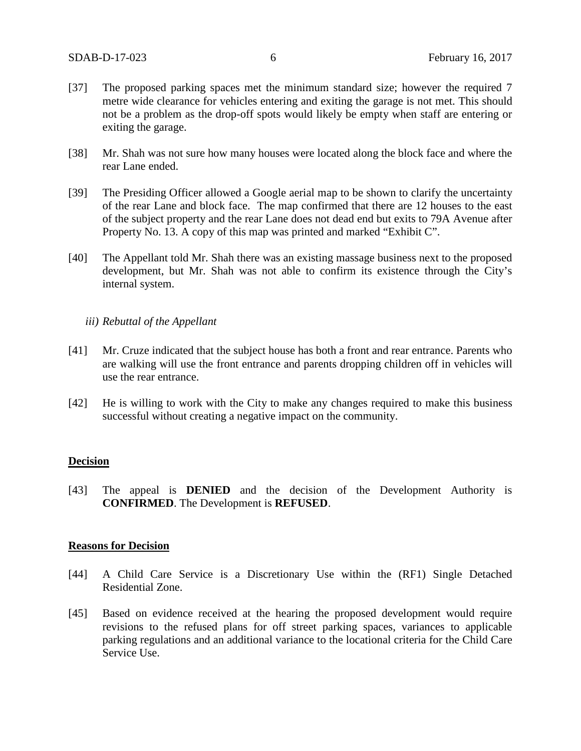- [37] The proposed parking spaces met the minimum standard size; however the required 7 metre wide clearance for vehicles entering and exiting the garage is not met. This should not be a problem as the drop-off spots would likely be empty when staff are entering or exiting the garage.
- [38] Mr. Shah was not sure how many houses were located along the block face and where the rear Lane ended.
- [39] The Presiding Officer allowed a Google aerial map to be shown to clarify the uncertainty of the rear Lane and block face. The map confirmed that there are 12 houses to the east of the subject property and the rear Lane does not dead end but exits to 79A Avenue after Property No. 13. A copy of this map was printed and marked "Exhibit C".
- [40] The Appellant told Mr. Shah there was an existing massage business next to the proposed development, but Mr. Shah was not able to confirm its existence through the City's internal system.

### *iii) Rebuttal of the Appellant*

- [41] Mr. Cruze indicated that the subject house has both a front and rear entrance. Parents who are walking will use the front entrance and parents dropping children off in vehicles will use the rear entrance.
- [42] He is willing to work with the City to make any changes required to make this business successful without creating a negative impact on the community.

### **Decision**

[43] The appeal is **DENIED** and the decision of the Development Authority is **CONFIRMED**. The Development is **REFUSED**.

#### **Reasons for Decision**

- [44] A Child Care Service is a Discretionary Use within the (RF1) Single Detached Residential Zone.
- [45] Based on evidence received at the hearing the proposed development would require revisions to the refused plans for off street parking spaces, variances to applicable parking regulations and an additional variance to the locational criteria for the Child Care Service Use.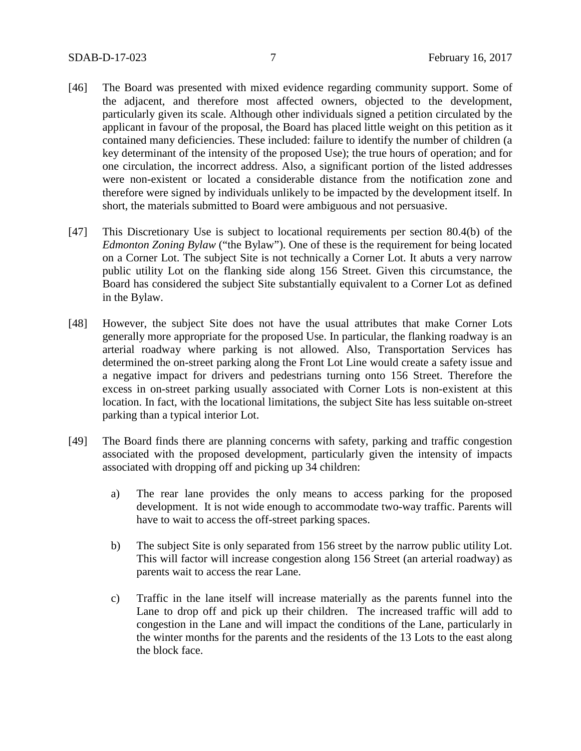- [46] The Board was presented with mixed evidence regarding community support. Some of the adjacent, and therefore most affected owners, objected to the development, particularly given its scale. Although other individuals signed a petition circulated by the applicant in favour of the proposal, the Board has placed little weight on this petition as it contained many deficiencies. These included: failure to identify the number of children (a key determinant of the intensity of the proposed Use); the true hours of operation; and for one circulation, the incorrect address. Also, a significant portion of the listed addresses were non-existent or located a considerable distance from the notification zone and therefore were signed by individuals unlikely to be impacted by the development itself. In short, the materials submitted to Board were ambiguous and not persuasive.
- [47] This Discretionary Use is subject to locational requirements per section 80.4(b) of the *Edmonton Zoning Bylaw* ("the Bylaw"). One of these is the requirement for being located on a Corner Lot. The subject Site is not technically a Corner Lot. It abuts a very narrow public utility Lot on the flanking side along 156 Street. Given this circumstance, the Board has considered the subject Site substantially equivalent to a Corner Lot as defined in the Bylaw.
- [48] However, the subject Site does not have the usual attributes that make Corner Lots generally more appropriate for the proposed Use. In particular, the flanking roadway is an arterial roadway where parking is not allowed. Also, Transportation Services has determined the on-street parking along the Front Lot Line would create a safety issue and a negative impact for drivers and pedestrians turning onto 156 Street. Therefore the excess in on-street parking usually associated with Corner Lots is non-existent at this location. In fact, with the locational limitations, the subject Site has less suitable on-street parking than a typical interior Lot.
- [49] The Board finds there are planning concerns with safety, parking and traffic congestion associated with the proposed development, particularly given the intensity of impacts associated with dropping off and picking up 34 children:
	- a) The rear lane provides the only means to access parking for the proposed development. It is not wide enough to accommodate two-way traffic. Parents will have to wait to access the off-street parking spaces.
	- b) The subject Site is only separated from 156 street by the narrow public utility Lot. This will factor will increase congestion along 156 Street (an arterial roadway) as parents wait to access the rear Lane.
	- c) Traffic in the lane itself will increase materially as the parents funnel into the Lane to drop off and pick up their children. The increased traffic will add to congestion in the Lane and will impact the conditions of the Lane, particularly in the winter months for the parents and the residents of the 13 Lots to the east along the block face.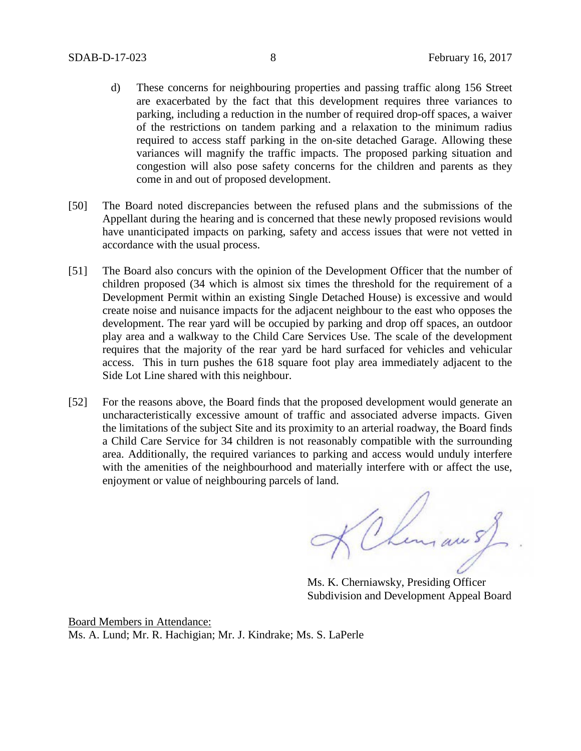- d) These concerns for neighbouring properties and passing traffic along 156 Street are exacerbated by the fact that this development requires three variances to parking, including a reduction in the number of required drop-off spaces, a waiver of the restrictions on tandem parking and a relaxation to the minimum radius required to access staff parking in the on-site detached Garage. Allowing these variances will magnify the traffic impacts. The proposed parking situation and congestion will also pose safety concerns for the children and parents as they come in and out of proposed development.
- [50] The Board noted discrepancies between the refused plans and the submissions of the Appellant during the hearing and is concerned that these newly proposed revisions would have unanticipated impacts on parking, safety and access issues that were not vetted in accordance with the usual process.
- [51] The Board also concurs with the opinion of the Development Officer that the number of children proposed (34 which is almost six times the threshold for the requirement of a Development Permit within an existing Single Detached House) is excessive and would create noise and nuisance impacts for the adjacent neighbour to the east who opposes the development. The rear yard will be occupied by parking and drop off spaces, an outdoor play area and a walkway to the Child Care Services Use. The scale of the development requires that the majority of the rear yard be hard surfaced for vehicles and vehicular access. This in turn pushes the 618 square foot play area immediately adjacent to the Side Lot Line shared with this neighbour.
- [52] For the reasons above, the Board finds that the proposed development would generate an uncharacteristically excessive amount of traffic and associated adverse impacts. Given the limitations of the subject Site and its proximity to an arterial roadway, the Board finds a Child Care Service for 34 children is not reasonably compatible with the surrounding area. Additionally, the required variances to parking and access would unduly interfere with the amenities of the neighbourhood and materially interfere with or affect the use, enjoyment or value of neighbouring parcels of land.

Chinaus

Ms. K. Cherniawsky, Presiding Officer Subdivision and Development Appeal Board

Board Members in Attendance: Ms. A. Lund; Mr. R. Hachigian; Mr. J. Kindrake; Ms. S. LaPerle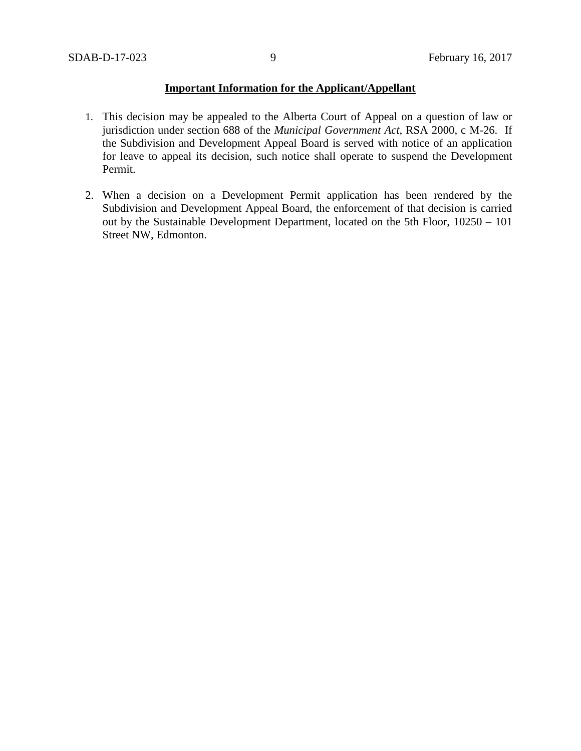## **Important Information for the Applicant/Appellant**

- 1. This decision may be appealed to the Alberta Court of Appeal on a question of law or jurisdiction under section 688 of the *Municipal Government Act*, RSA 2000, c M-26. If the Subdivision and Development Appeal Board is served with notice of an application for leave to appeal its decision, such notice shall operate to suspend the Development Permit.
- 2. When a decision on a Development Permit application has been rendered by the Subdivision and Development Appeal Board, the enforcement of that decision is carried out by the Sustainable Development Department, located on the 5th Floor, 10250 – 101 Street NW, Edmonton.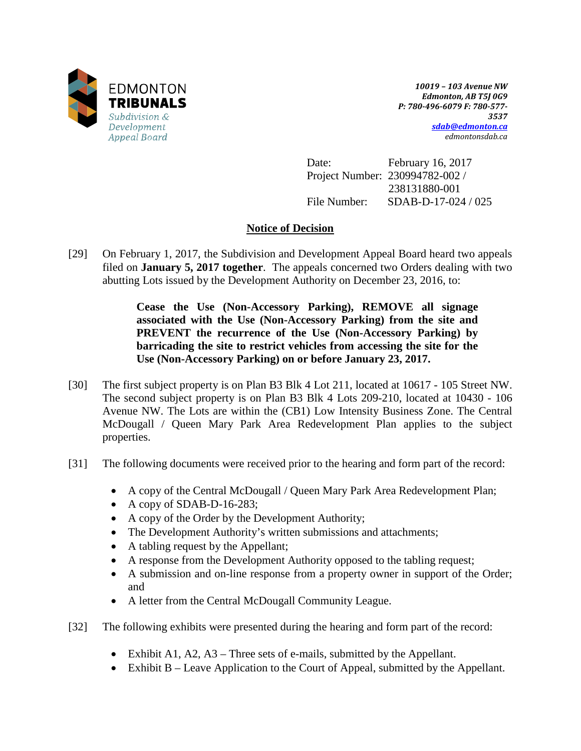

*10019 – 103 Avenue NW Edmonton, AB T5J 0G9 P: 780-496-6079 F: 780-577- 3537 [sdab@edmonton.ca](mailto:sdab@edmonton.ca) edmontonsdab.ca*

Date: February 16, 2017 Project Number: 230994782-002 / 238131880-001 File Number: SDAB-D-17-024 / 025

# **Notice of Decision**

[29] On February 1, 2017, the Subdivision and Development Appeal Board heard two appeals filed on **January 5, 2017 together**. The appeals concerned two Orders dealing with two abutting Lots issued by the Development Authority on December 23, 2016, to:

> **Cease the Use (Non-Accessory Parking), REMOVE all signage associated with the Use (Non-Accessory Parking) from the site and PREVENT the recurrence of the Use (Non-Accessory Parking) by barricading the site to restrict vehicles from accessing the site for the Use (Non-Accessory Parking) on or before January 23, 2017.**

- [30] The first subject property is on Plan B3 Blk 4 Lot 211, located at 10617 105 Street NW. The second subject property is on Plan B3 Blk 4 Lots 209-210, located at 10430 - 106 Avenue NW. The Lots are within the (CB1) Low Intensity Business Zone. The Central McDougall / Queen Mary Park Area Redevelopment Plan applies to the subject properties.
- [31] The following documents were received prior to the hearing and form part of the record:
	- A copy of the Central McDougall / Queen Mary Park Area Redevelopment Plan;
	- A copy of SDAB-D-16-283;
	- A copy of the Order by the Development Authority;
	- The Development Authority's written submissions and attachments;
	- A tabling request by the Appellant;
	- A response from the Development Authority opposed to the tabling request;
	- A submission and on-line response from a property owner in support of the Order; and
	- A letter from the Central McDougall Community League.
- [32] The following exhibits were presented during the hearing and form part of the record:
	- Exhibit A1, A2, A3 Three sets of e-mails, submitted by the Appellant.
	- Exhibit B Leave Application to the Court of Appeal, submitted by the Appellant.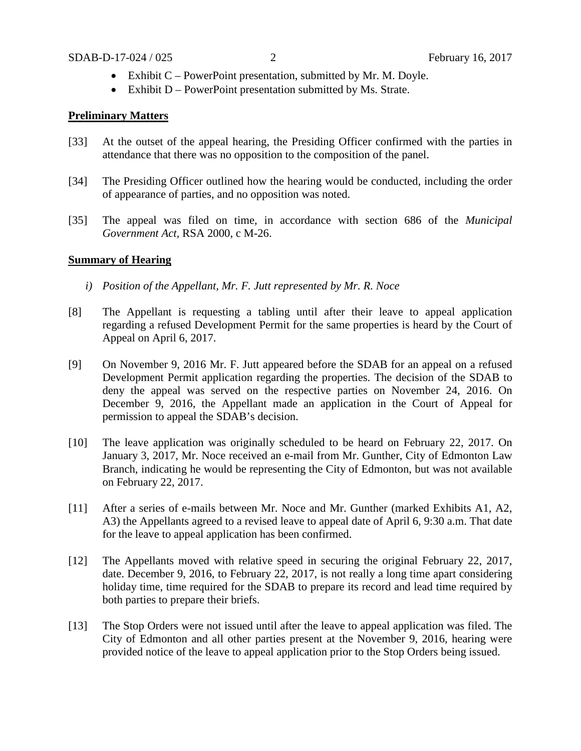- Exhibit C PowerPoint presentation, submitted by Mr. M. Doyle.
- Exhibit D PowerPoint presentation submitted by Ms. Strate.

### **Preliminary Matters**

- [33] At the outset of the appeal hearing, the Presiding Officer confirmed with the parties in attendance that there was no opposition to the composition of the panel.
- [34] The Presiding Officer outlined how the hearing would be conducted, including the order of appearance of parties, and no opposition was noted.
- [35] The appeal was filed on time, in accordance with section 686 of the *Municipal Government Act,* RSA 2000, c M-26.

### **Summary of Hearing**

- *i) Position of the Appellant, Mr. F. Jutt represented by Mr. R. Noce*
- [8] The Appellant is requesting a tabling until after their leave to appeal application regarding a refused Development Permit for the same properties is heard by the Court of Appeal on April 6, 2017.
- [9] On November 9, 2016 Mr. F. Jutt appeared before the SDAB for an appeal on a refused Development Permit application regarding the properties. The decision of the SDAB to deny the appeal was served on the respective parties on November 24, 2016. On December 9, 2016, the Appellant made an application in the Court of Appeal for permission to appeal the SDAB's decision.
- [10] The leave application was originally scheduled to be heard on February 22, 2017. On January 3, 2017, Mr. Noce received an e-mail from Mr. Gunther, City of Edmonton Law Branch, indicating he would be representing the City of Edmonton, but was not available on February 22, 2017.
- [11] After a series of e-mails between Mr. Noce and Mr. Gunther (marked Exhibits A1, A2, A3) the Appellants agreed to a revised leave to appeal date of April 6, 9:30 a.m. That date for the leave to appeal application has been confirmed.
- [12] The Appellants moved with relative speed in securing the original February 22, 2017, date. December 9, 2016, to February 22, 2017, is not really a long time apart considering holiday time, time required for the SDAB to prepare its record and lead time required by both parties to prepare their briefs.
- [13] The Stop Orders were not issued until after the leave to appeal application was filed. The City of Edmonton and all other parties present at the November 9, 2016, hearing were provided notice of the leave to appeal application prior to the Stop Orders being issued.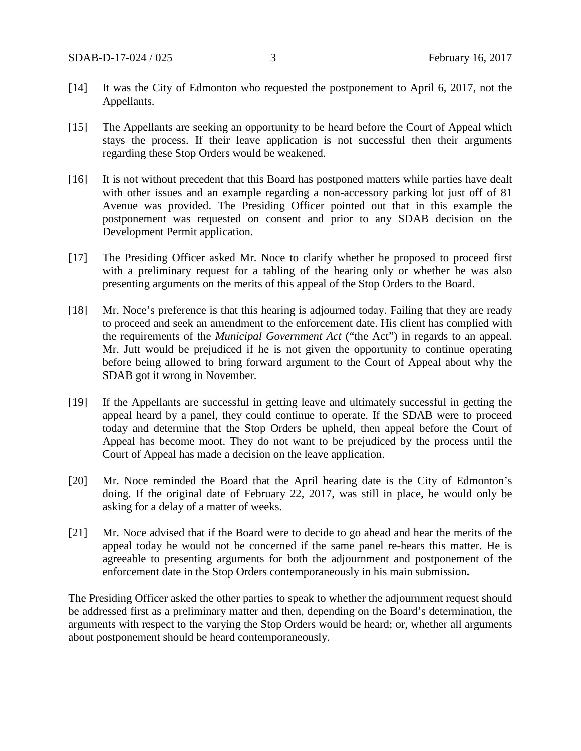- [14] It was the City of Edmonton who requested the postponement to April 6, 2017, not the Appellants.
- [15] The Appellants are seeking an opportunity to be heard before the Court of Appeal which stays the process. If their leave application is not successful then their arguments regarding these Stop Orders would be weakened.
- [16] It is not without precedent that this Board has postponed matters while parties have dealt with other issues and an example regarding a non-accessory parking lot just off of 81 Avenue was provided. The Presiding Officer pointed out that in this example the postponement was requested on consent and prior to any SDAB decision on the Development Permit application.
- [17] The Presiding Officer asked Mr. Noce to clarify whether he proposed to proceed first with a preliminary request for a tabling of the hearing only or whether he was also presenting arguments on the merits of this appeal of the Stop Orders to the Board.
- [18] Mr. Noce's preference is that this hearing is adjourned today. Failing that they are ready to proceed and seek an amendment to the enforcement date. His client has complied with the requirements of the *Municipal Government Act* ("the Act") in regards to an appeal. Mr. Jutt would be prejudiced if he is not given the opportunity to continue operating before being allowed to bring forward argument to the Court of Appeal about why the SDAB got it wrong in November.
- [19] If the Appellants are successful in getting leave and ultimately successful in getting the appeal heard by a panel, they could continue to operate. If the SDAB were to proceed today and determine that the Stop Orders be upheld, then appeal before the Court of Appeal has become moot. They do not want to be prejudiced by the process until the Court of Appeal has made a decision on the leave application.
- [20] Mr. Noce reminded the Board that the April hearing date is the City of Edmonton's doing. If the original date of February 22, 2017, was still in place, he would only be asking for a delay of a matter of weeks.
- [21] Mr. Noce advised that if the Board were to decide to go ahead and hear the merits of the appeal today he would not be concerned if the same panel re-hears this matter. He is agreeable to presenting arguments for both the adjournment and postponement of the enforcement date in the Stop Orders contemporaneously in his main submission**.**

The Presiding Officer asked the other parties to speak to whether the adjournment request should be addressed first as a preliminary matter and then, depending on the Board's determination, the arguments with respect to the varying the Stop Orders would be heard; or, whether all arguments about postponement should be heard contemporaneously.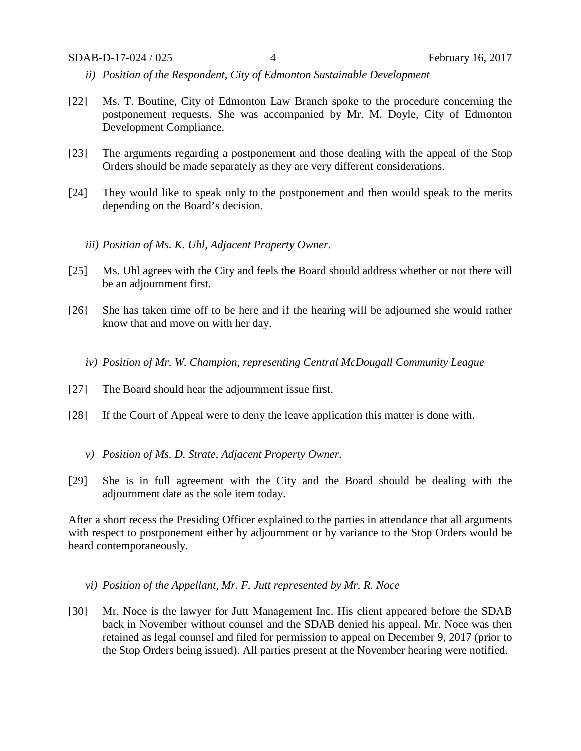- *ii) Position of the Respondent, City of Edmonton Sustainable Development*
- [22] Ms. T. Boutine, City of Edmonton Law Branch spoke to the procedure concerning the postponement requests. She was accompanied by Mr. M. Doyle, City of Edmonton Development Compliance.
- [23] The arguments regarding a postponement and those dealing with the appeal of the Stop Orders should be made separately as they are very different considerations.
- [24] They would like to speak only to the postponement and then would speak to the merits depending on the Board's decision.
	- *iii) Position of Ms. K. Uhl, Adjacent Property Owner.*
- [25] Ms. Uhl agrees with the City and feels the Board should address whether or not there will be an adjournment first.
- [26] She has taken time off to be here and if the hearing will be adjourned she would rather know that and move on with her day.
	- *iv) Position of Mr. W. Champion, representing Central McDougall Community League*
- [27] The Board should hear the adjournment issue first.
- [28] If the Court of Appeal were to deny the leave application this matter is done with.
	- *v) Position of Ms. D. Strate, Adjacent Property Owner.*
- [29] She is in full agreement with the City and the Board should be dealing with the adjournment date as the sole item today.

After a short recess the Presiding Officer explained to the parties in attendance that all arguments with respect to postponement either by adjournment or by variance to the Stop Orders would be heard contemporaneously.

- *vi) Position of the Appellant, Mr. F. Jutt represented by Mr. R. Noce*
- [30] Mr. Noce is the lawyer for Jutt Management Inc. His client appeared before the SDAB back in November without counsel and the SDAB denied his appeal. Mr. Noce was then retained as legal counsel and filed for permission to appeal on December 9, 2017 (prior to the Stop Orders being issued). All parties present at the November hearing were notified.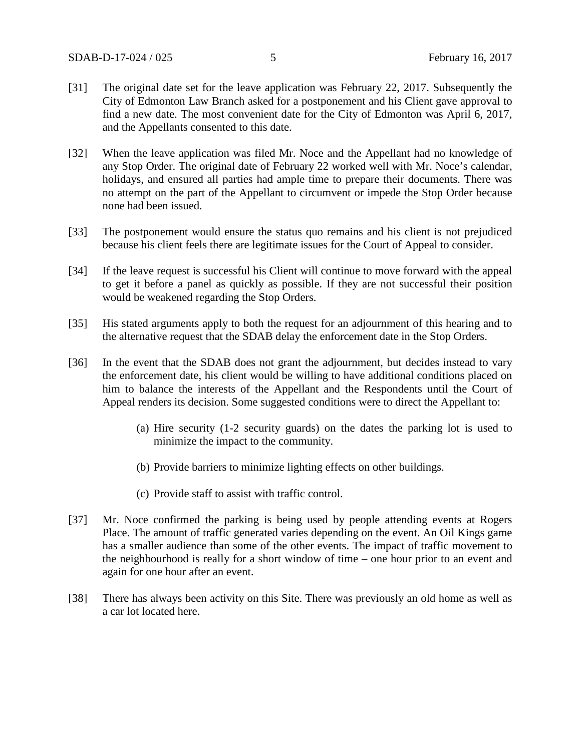- [31] The original date set for the leave application was February 22, 2017. Subsequently the City of Edmonton Law Branch asked for a postponement and his Client gave approval to find a new date. The most convenient date for the City of Edmonton was April 6, 2017, and the Appellants consented to this date.
- [32] When the leave application was filed Mr. Noce and the Appellant had no knowledge of any Stop Order. The original date of February 22 worked well with Mr. Noce's calendar, holidays, and ensured all parties had ample time to prepare their documents. There was no attempt on the part of the Appellant to circumvent or impede the Stop Order because none had been issued.
- [33] The postponement would ensure the status quo remains and his client is not prejudiced because his client feels there are legitimate issues for the Court of Appeal to consider.
- [34] If the leave request is successful his Client will continue to move forward with the appeal to get it before a panel as quickly as possible. If they are not successful their position would be weakened regarding the Stop Orders.
- [35] His stated arguments apply to both the request for an adjournment of this hearing and to the alternative request that the SDAB delay the enforcement date in the Stop Orders.
- [36] In the event that the SDAB does not grant the adjournment, but decides instead to vary the enforcement date, his client would be willing to have additional conditions placed on him to balance the interests of the Appellant and the Respondents until the Court of Appeal renders its decision. Some suggested conditions were to direct the Appellant to:
	- (a) Hire security (1-2 security guards) on the dates the parking lot is used to minimize the impact to the community.
	- (b) Provide barriers to minimize lighting effects on other buildings.
	- (c) Provide staff to assist with traffic control.
- [37] Mr. Noce confirmed the parking is being used by people attending events at Rogers Place. The amount of traffic generated varies depending on the event. An Oil Kings game has a smaller audience than some of the other events. The impact of traffic movement to the neighbourhood is really for a short window of time – one hour prior to an event and again for one hour after an event.
- [38] There has always been activity on this Site. There was previously an old home as well as a car lot located here.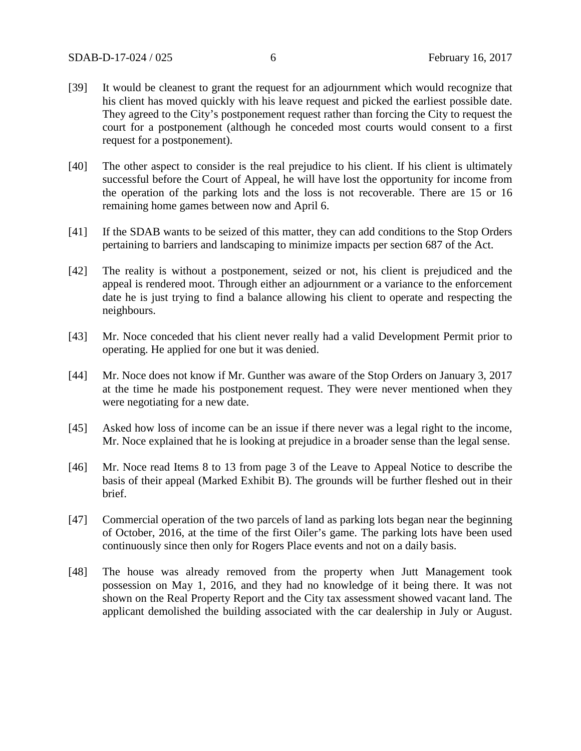- [39] It would be cleanest to grant the request for an adjournment which would recognize that his client has moved quickly with his leave request and picked the earliest possible date. They agreed to the City's postponement request rather than forcing the City to request the court for a postponement (although he conceded most courts would consent to a first request for a postponement).
- [40] The other aspect to consider is the real prejudice to his client. If his client is ultimately successful before the Court of Appeal, he will have lost the opportunity for income from the operation of the parking lots and the loss is not recoverable. There are 15 or 16 remaining home games between now and April 6.
- [41] If the SDAB wants to be seized of this matter, they can add conditions to the Stop Orders pertaining to barriers and landscaping to minimize impacts per section 687 of the Act.
- [42] The reality is without a postponement, seized or not, his client is prejudiced and the appeal is rendered moot. Through either an adjournment or a variance to the enforcement date he is just trying to find a balance allowing his client to operate and respecting the neighbours.
- [43] Mr. Noce conceded that his client never really had a valid Development Permit prior to operating. He applied for one but it was denied.
- [44] Mr. Noce does not know if Mr. Gunther was aware of the Stop Orders on January 3, 2017 at the time he made his postponement request. They were never mentioned when they were negotiating for a new date.
- [45] Asked how loss of income can be an issue if there never was a legal right to the income, Mr. Noce explained that he is looking at prejudice in a broader sense than the legal sense.
- [46] Mr. Noce read Items 8 to 13 from page 3 of the Leave to Appeal Notice to describe the basis of their appeal (Marked Exhibit B). The grounds will be further fleshed out in their brief.
- [47] Commercial operation of the two parcels of land as parking lots began near the beginning of October, 2016, at the time of the first Oiler's game. The parking lots have been used continuously since then only for Rogers Place events and not on a daily basis.
- [48] The house was already removed from the property when Jutt Management took possession on May 1, 2016, and they had no knowledge of it being there. It was not shown on the Real Property Report and the City tax assessment showed vacant land. The applicant demolished the building associated with the car dealership in July or August.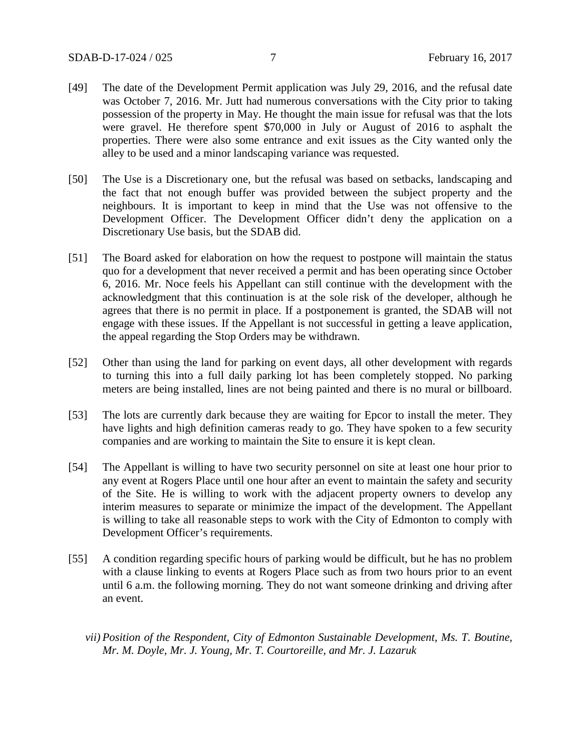- [49] The date of the Development Permit application was July 29, 2016, and the refusal date was October 7, 2016. Mr. Jutt had numerous conversations with the City prior to taking possession of the property in May. He thought the main issue for refusal was that the lots were gravel. He therefore spent \$70,000 in July or August of 2016 to asphalt the properties. There were also some entrance and exit issues as the City wanted only the alley to be used and a minor landscaping variance was requested.
- [50] The Use is a Discretionary one, but the refusal was based on setbacks, landscaping and the fact that not enough buffer was provided between the subject property and the neighbours. It is important to keep in mind that the Use was not offensive to the Development Officer. The Development Officer didn't deny the application on a Discretionary Use basis, but the SDAB did.
- [51] The Board asked for elaboration on how the request to postpone will maintain the status quo for a development that never received a permit and has been operating since October 6, 2016. Mr. Noce feels his Appellant can still continue with the development with the acknowledgment that this continuation is at the sole risk of the developer, although he agrees that there is no permit in place. If a postponement is granted, the SDAB will not engage with these issues. If the Appellant is not successful in getting a leave application, the appeal regarding the Stop Orders may be withdrawn.
- [52] Other than using the land for parking on event days, all other development with regards to turning this into a full daily parking lot has been completely stopped. No parking meters are being installed, lines are not being painted and there is no mural or billboard.
- [53] The lots are currently dark because they are waiting for Epcor to install the meter. They have lights and high definition cameras ready to go. They have spoken to a few security companies and are working to maintain the Site to ensure it is kept clean.
- [54] The Appellant is willing to have two security personnel on site at least one hour prior to any event at Rogers Place until one hour after an event to maintain the safety and security of the Site. He is willing to work with the adjacent property owners to develop any interim measures to separate or minimize the impact of the development. The Appellant is willing to take all reasonable steps to work with the City of Edmonton to comply with Development Officer's requirements.
- [55] A condition regarding specific hours of parking would be difficult, but he has no problem with a clause linking to events at Rogers Place such as from two hours prior to an event until 6 a.m. the following morning. They do not want someone drinking and driving after an event.
	- *vii) Position of the Respondent, City of Edmonton Sustainable Development, Ms. T. Boutine, Mr. M. Doyle, Mr. J. Young, Mr. T. Courtoreille, and Mr. J. Lazaruk*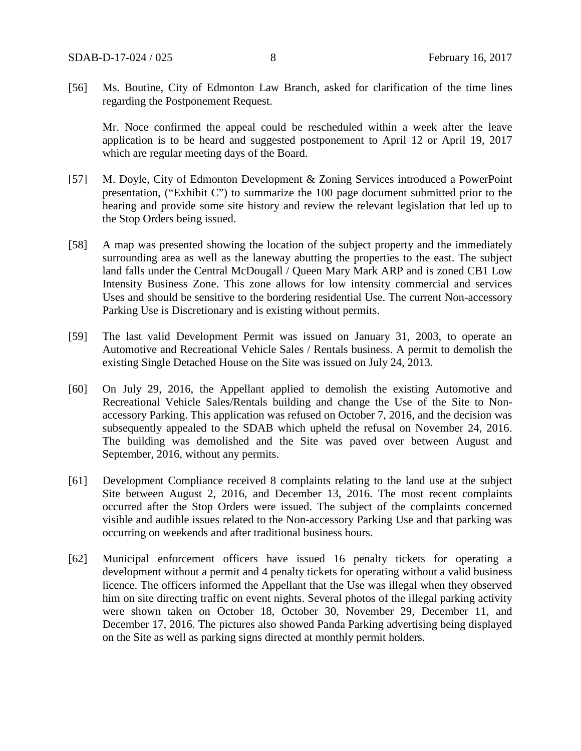[56] Ms. Boutine, City of Edmonton Law Branch, asked for clarification of the time lines regarding the Postponement Request.

Mr. Noce confirmed the appeal could be rescheduled within a week after the leave application is to be heard and suggested postponement to April 12 or April 19, 2017 which are regular meeting days of the Board.

- [57] M. Doyle, City of Edmonton Development & Zoning Services introduced a PowerPoint presentation, ("Exhibit C") to summarize the 100 page document submitted prior to the hearing and provide some site history and review the relevant legislation that led up to the Stop Orders being issued.
- [58] A map was presented showing the location of the subject property and the immediately surrounding area as well as the laneway abutting the properties to the east. The subject land falls under the Central McDougall / Queen Mary Mark ARP and is zoned CB1 Low Intensity Business Zone. This zone allows for low intensity commercial and services Uses and should be sensitive to the bordering residential Use. The current Non-accessory Parking Use is Discretionary and is existing without permits.
- [59] The last valid Development Permit was issued on January 31, 2003, to operate an Automotive and Recreational Vehicle Sales / Rentals business. A permit to demolish the existing Single Detached House on the Site was issued on July 24, 2013.
- [60] On July 29, 2016, the Appellant applied to demolish the existing Automotive and Recreational Vehicle Sales/Rentals building and change the Use of the Site to Nonaccessory Parking. This application was refused on October 7, 2016, and the decision was subsequently appealed to the SDAB which upheld the refusal on November 24, 2016. The building was demolished and the Site was paved over between August and September, 2016, without any permits.
- [61] Development Compliance received 8 complaints relating to the land use at the subject Site between August 2, 2016, and December 13, 2016. The most recent complaints occurred after the Stop Orders were issued. The subject of the complaints concerned visible and audible issues related to the Non-accessory Parking Use and that parking was occurring on weekends and after traditional business hours.
- [62] Municipal enforcement officers have issued 16 penalty tickets for operating a development without a permit and 4 penalty tickets for operating without a valid business licence. The officers informed the Appellant that the Use was illegal when they observed him on site directing traffic on event nights. Several photos of the illegal parking activity were shown taken on October 18, October 30, November 29, December 11, and December 17, 2016. The pictures also showed Panda Parking advertising being displayed on the Site as well as parking signs directed at monthly permit holders.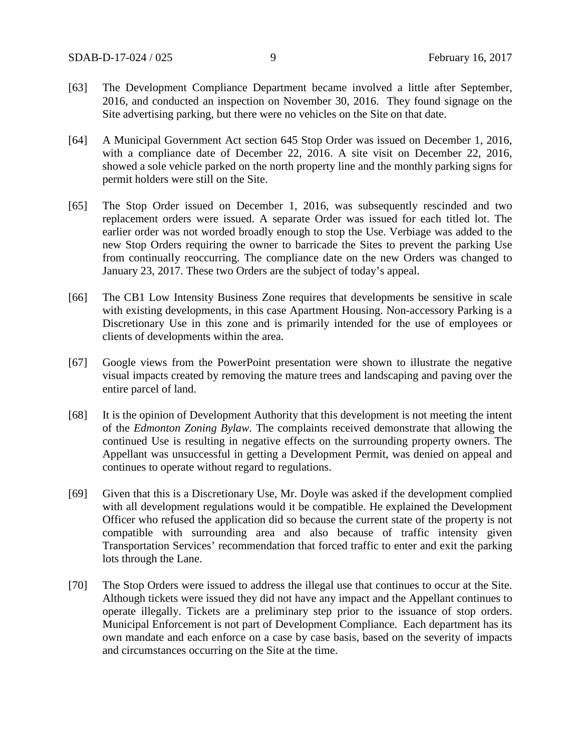- [63] The Development Compliance Department became involved a little after September, 2016, and conducted an inspection on November 30, 2016. They found signage on the Site advertising parking, but there were no vehicles on the Site on that date.
- [64] A Municipal Government Act section 645 Stop Order was issued on December 1, 2016, with a compliance date of December 22, 2016. A site visit on December 22, 2016, showed a sole vehicle parked on the north property line and the monthly parking signs for permit holders were still on the Site.
- [65] The Stop Order issued on December 1, 2016, was subsequently rescinded and two replacement orders were issued. A separate Order was issued for each titled lot. The earlier order was not worded broadly enough to stop the Use. Verbiage was added to the new Stop Orders requiring the owner to barricade the Sites to prevent the parking Use from continually reoccurring. The compliance date on the new Orders was changed to January 23, 2017. These two Orders are the subject of today's appeal.
- [66] The CB1 Low Intensity Business Zone requires that developments be sensitive in scale with existing developments, in this case Apartment Housing. Non-accessory Parking is a Discretionary Use in this zone and is primarily intended for the use of employees or clients of developments within the area.
- [67] Google views from the PowerPoint presentation were shown to illustrate the negative visual impacts created by removing the mature trees and landscaping and paving over the entire parcel of land.
- [68] It is the opinion of Development Authority that this development is not meeting the intent of the *Edmonton Zoning Bylaw*. The complaints received demonstrate that allowing the continued Use is resulting in negative effects on the surrounding property owners. The Appellant was unsuccessful in getting a Development Permit, was denied on appeal and continues to operate without regard to regulations.
- [69] Given that this is a Discretionary Use, Mr. Doyle was asked if the development complied with all development regulations would it be compatible. He explained the Development Officer who refused the application did so because the current state of the property is not compatible with surrounding area and also because of traffic intensity given Transportation Services' recommendation that forced traffic to enter and exit the parking lots through the Lane.
- [70] The Stop Orders were issued to address the illegal use that continues to occur at the Site. Although tickets were issued they did not have any impact and the Appellant continues to operate illegally. Tickets are a preliminary step prior to the issuance of stop orders. Municipal Enforcement is not part of Development Compliance. Each department has its own mandate and each enforce on a case by case basis, based on the severity of impacts and circumstances occurring on the Site at the time.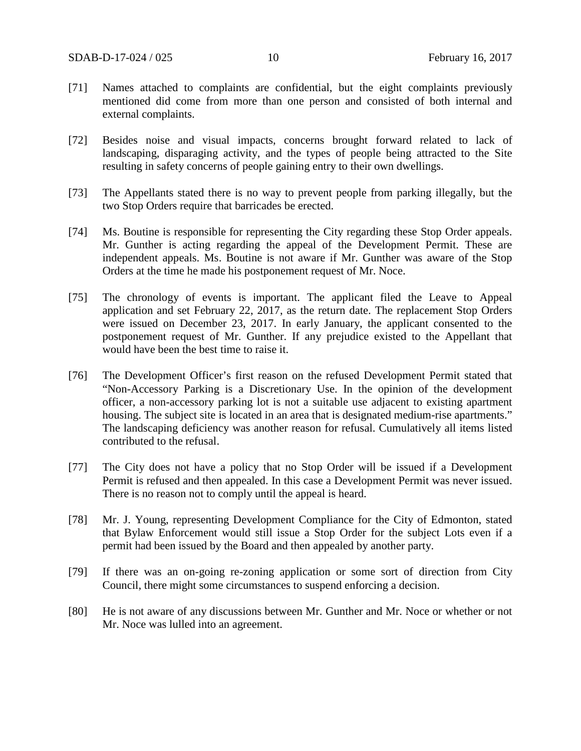- [71] Names attached to complaints are confidential, but the eight complaints previously mentioned did come from more than one person and consisted of both internal and external complaints.
- [72] Besides noise and visual impacts, concerns brought forward related to lack of landscaping, disparaging activity, and the types of people being attracted to the Site resulting in safety concerns of people gaining entry to their own dwellings.
- [73] The Appellants stated there is no way to prevent people from parking illegally, but the two Stop Orders require that barricades be erected.
- [74] Ms. Boutine is responsible for representing the City regarding these Stop Order appeals. Mr. Gunther is acting regarding the appeal of the Development Permit. These are independent appeals. Ms. Boutine is not aware if Mr. Gunther was aware of the Stop Orders at the time he made his postponement request of Mr. Noce.
- [75] The chronology of events is important. The applicant filed the Leave to Appeal application and set February 22, 2017, as the return date. The replacement Stop Orders were issued on December 23, 2017. In early January, the applicant consented to the postponement request of Mr. Gunther. If any prejudice existed to the Appellant that would have been the best time to raise it.
- [76] The Development Officer's first reason on the refused Development Permit stated that "Non-Accessory Parking is a Discretionary Use. In the opinion of the development officer, a non-accessory parking lot is not a suitable use adjacent to existing apartment housing. The subject site is located in an area that is designated medium-rise apartments." The landscaping deficiency was another reason for refusal. Cumulatively all items listed contributed to the refusal.
- [77] The City does not have a policy that no Stop Order will be issued if a Development Permit is refused and then appealed. In this case a Development Permit was never issued. There is no reason not to comply until the appeal is heard.
- [78] Mr. J. Young, representing Development Compliance for the City of Edmonton, stated that Bylaw Enforcement would still issue a Stop Order for the subject Lots even if a permit had been issued by the Board and then appealed by another party.
- [79] If there was an on-going re-zoning application or some sort of direction from City Council, there might some circumstances to suspend enforcing a decision.
- [80] He is not aware of any discussions between Mr. Gunther and Mr. Noce or whether or not Mr. Noce was lulled into an agreement.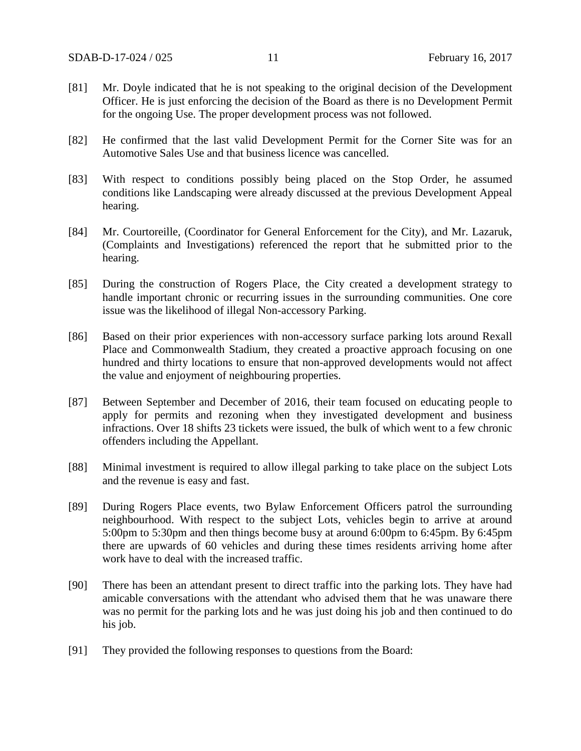- [81] Mr. Doyle indicated that he is not speaking to the original decision of the Development Officer. He is just enforcing the decision of the Board as there is no Development Permit for the ongoing Use. The proper development process was not followed.
- [82] He confirmed that the last valid Development Permit for the Corner Site was for an Automotive Sales Use and that business licence was cancelled.
- [83] With respect to conditions possibly being placed on the Stop Order, he assumed conditions like Landscaping were already discussed at the previous Development Appeal hearing.
- [84] Mr. Courtoreille, (Coordinator for General Enforcement for the City), and Mr. Lazaruk, (Complaints and Investigations) referenced the report that he submitted prior to the hearing.
- [85] During the construction of Rogers Place, the City created a development strategy to handle important chronic or recurring issues in the surrounding communities. One core issue was the likelihood of illegal Non-accessory Parking.
- [86] Based on their prior experiences with non-accessory surface parking lots around Rexall Place and Commonwealth Stadium, they created a proactive approach focusing on one hundred and thirty locations to ensure that non-approved developments would not affect the value and enjoyment of neighbouring properties.
- [87] Between September and December of 2016, their team focused on educating people to apply for permits and rezoning when they investigated development and business infractions. Over 18 shifts 23 tickets were issued, the bulk of which went to a few chronic offenders including the Appellant.
- [88] Minimal investment is required to allow illegal parking to take place on the subject Lots and the revenue is easy and fast.
- [89] During Rogers Place events, two Bylaw Enforcement Officers patrol the surrounding neighbourhood. With respect to the subject Lots, vehicles begin to arrive at around 5:00pm to 5:30pm and then things become busy at around 6:00pm to 6:45pm. By 6:45pm there are upwards of 60 vehicles and during these times residents arriving home after work have to deal with the increased traffic.
- [90] There has been an attendant present to direct traffic into the parking lots. They have had amicable conversations with the attendant who advised them that he was unaware there was no permit for the parking lots and he was just doing his job and then continued to do his job.
- [91] They provided the following responses to questions from the Board: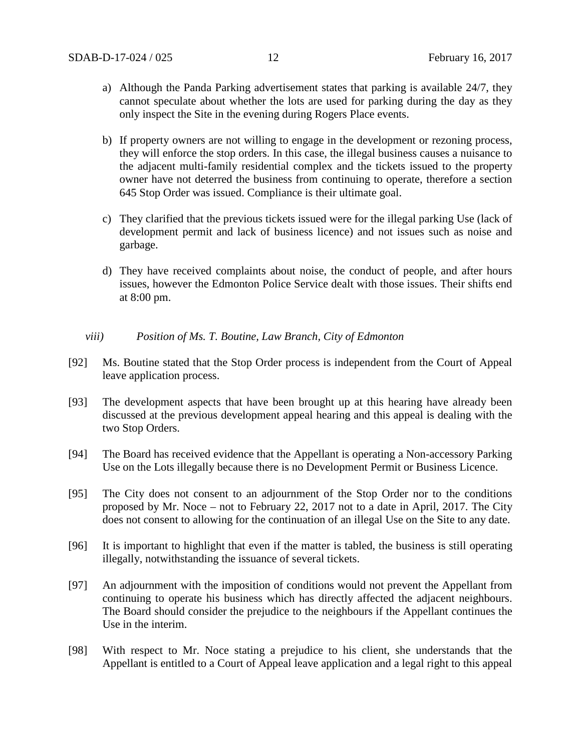- a) Although the Panda Parking advertisement states that parking is available 24/7, they cannot speculate about whether the lots are used for parking during the day as they only inspect the Site in the evening during Rogers Place events.
- b) If property owners are not willing to engage in the development or rezoning process, they will enforce the stop orders. In this case, the illegal business causes a nuisance to the adjacent multi-family residential complex and the tickets issued to the property owner have not deterred the business from continuing to operate, therefore a section 645 Stop Order was issued. Compliance is their ultimate goal.
- c) They clarified that the previous tickets issued were for the illegal parking Use (lack of development permit and lack of business licence) and not issues such as noise and garbage.
- d) They have received complaints about noise, the conduct of people, and after hours issues, however the Edmonton Police Service dealt with those issues. Their shifts end at 8:00 pm.

### *viii) Position of Ms. T. Boutine, Law Branch, City of Edmonton*

- [92] Ms. Boutine stated that the Stop Order process is independent from the Court of Appeal leave application process.
- [93] The development aspects that have been brought up at this hearing have already been discussed at the previous development appeal hearing and this appeal is dealing with the two Stop Orders.
- [94] The Board has received evidence that the Appellant is operating a Non-accessory Parking Use on the Lots illegally because there is no Development Permit or Business Licence.
- [95] The City does not consent to an adjournment of the Stop Order nor to the conditions proposed by Mr. Noce – not to February 22, 2017 not to a date in April, 2017. The City does not consent to allowing for the continuation of an illegal Use on the Site to any date.
- [96] It is important to highlight that even if the matter is tabled, the business is still operating illegally, notwithstanding the issuance of several tickets.
- [97] An adjournment with the imposition of conditions would not prevent the Appellant from continuing to operate his business which has directly affected the adjacent neighbours. The Board should consider the prejudice to the neighbours if the Appellant continues the Use in the interim.
- [98] With respect to Mr. Noce stating a prejudice to his client, she understands that the Appellant is entitled to a Court of Appeal leave application and a legal right to this appeal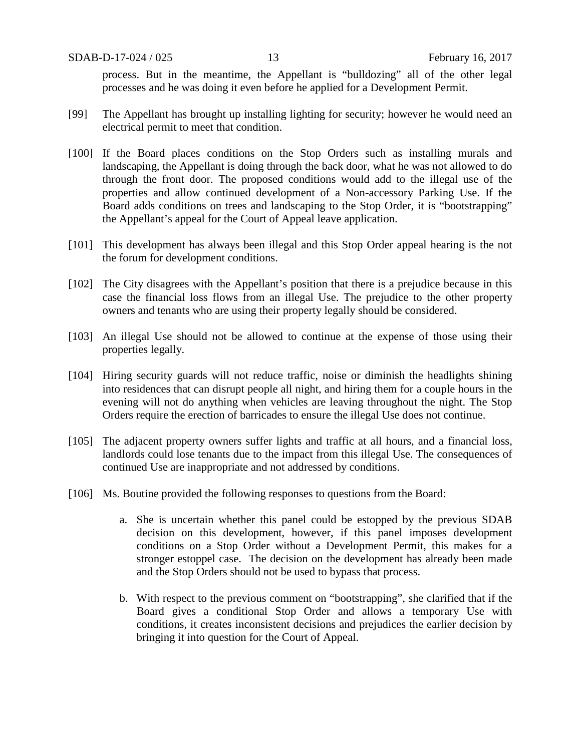process. But in the meantime, the Appellant is "bulldozing" all of the other legal processes and he was doing it even before he applied for a Development Permit.

- [99] The Appellant has brought up installing lighting for security; however he would need an electrical permit to meet that condition.
- [100] If the Board places conditions on the Stop Orders such as installing murals and landscaping, the Appellant is doing through the back door, what he was not allowed to do through the front door. The proposed conditions would add to the illegal use of the properties and allow continued development of a Non-accessory Parking Use. If the Board adds conditions on trees and landscaping to the Stop Order, it is "bootstrapping" the Appellant's appeal for the Court of Appeal leave application.
- [101] This development has always been illegal and this Stop Order appeal hearing is the not the forum for development conditions.
- [102] The City disagrees with the Appellant's position that there is a prejudice because in this case the financial loss flows from an illegal Use. The prejudice to the other property owners and tenants who are using their property legally should be considered.
- [103] An illegal Use should not be allowed to continue at the expense of those using their properties legally.
- [104] Hiring security guards will not reduce traffic, noise or diminish the headlights shining into residences that can disrupt people all night, and hiring them for a couple hours in the evening will not do anything when vehicles are leaving throughout the night. The Stop Orders require the erection of barricades to ensure the illegal Use does not continue.
- [105] The adjacent property owners suffer lights and traffic at all hours, and a financial loss, landlords could lose tenants due to the impact from this illegal Use. The consequences of continued Use are inappropriate and not addressed by conditions.
- [106] Ms. Boutine provided the following responses to questions from the Board:
	- a. She is uncertain whether this panel could be estopped by the previous SDAB decision on this development, however, if this panel imposes development conditions on a Stop Order without a Development Permit, this makes for a stronger estoppel case. The decision on the development has already been made and the Stop Orders should not be used to bypass that process.
	- b. With respect to the previous comment on "bootstrapping", she clarified that if the Board gives a conditional Stop Order and allows a temporary Use with conditions, it creates inconsistent decisions and prejudices the earlier decision by bringing it into question for the Court of Appeal.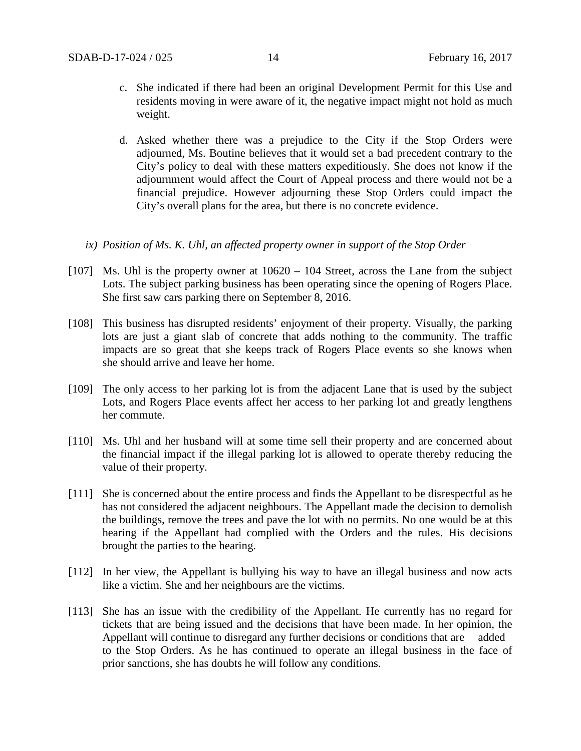- c. She indicated if there had been an original Development Permit for this Use and residents moving in were aware of it, the negative impact might not hold as much weight.
- d. Asked whether there was a prejudice to the City if the Stop Orders were adjourned, Ms. Boutine believes that it would set a bad precedent contrary to the City's policy to deal with these matters expeditiously. She does not know if the adjournment would affect the Court of Appeal process and there would not be a financial prejudice. However adjourning these Stop Orders could impact the City's overall plans for the area, but there is no concrete evidence.
- *ix) Position of Ms. K. Uhl, an affected property owner in support of the Stop Order*
- [107] Ms. Uhl is the property owner at  $10620 104$  Street, across the Lane from the subject Lots. The subject parking business has been operating since the opening of Rogers Place. She first saw cars parking there on September 8, 2016.
- [108] This business has disrupted residents' enjoyment of their property. Visually, the parking lots are just a giant slab of concrete that adds nothing to the community. The traffic impacts are so great that she keeps track of Rogers Place events so she knows when she should arrive and leave her home.
- [109] The only access to her parking lot is from the adjacent Lane that is used by the subject Lots, and Rogers Place events affect her access to her parking lot and greatly lengthens her commute.
- [110] Ms. Uhl and her husband will at some time sell their property and are concerned about the financial impact if the illegal parking lot is allowed to operate thereby reducing the value of their property.
- [111] She is concerned about the entire process and finds the Appellant to be disrespectful as he has not considered the adjacent neighbours. The Appellant made the decision to demolish the buildings, remove the trees and pave the lot with no permits. No one would be at this hearing if the Appellant had complied with the Orders and the rules. His decisions brought the parties to the hearing.
- [112] In her view, the Appellant is bullying his way to have an illegal business and now acts like a victim. She and her neighbours are the victims.
- [113] She has an issue with the credibility of the Appellant. He currently has no regard for tickets that are being issued and the decisions that have been made. In her opinion, the Appellant will continue to disregard any further decisions or conditions that are added to the Stop Orders. As he has continued to operate an illegal business in the face of prior sanctions, she has doubts he will follow any conditions.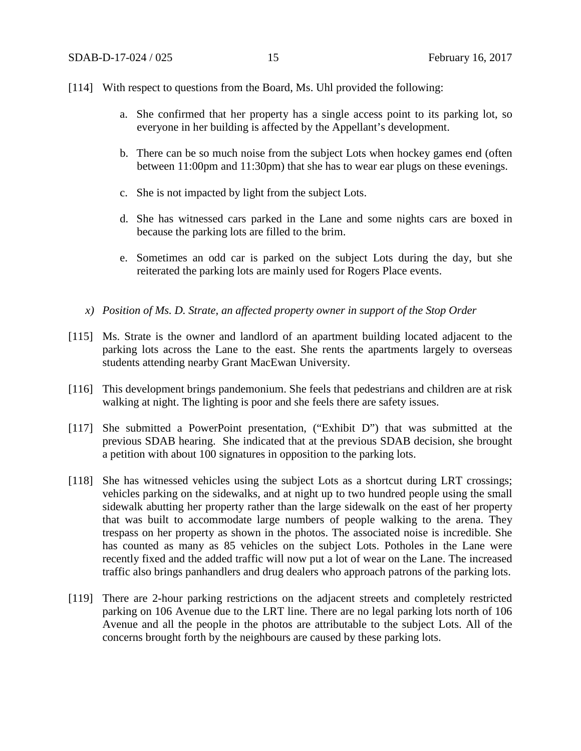### [114] With respect to questions from the Board, Ms. Uhl provided the following:

- a. She confirmed that her property has a single access point to its parking lot, so everyone in her building is affected by the Appellant's development.
- b. There can be so much noise from the subject Lots when hockey games end (often between 11:00pm and 11:30pm) that she has to wear ear plugs on these evenings.
- c. She is not impacted by light from the subject Lots.
- d. She has witnessed cars parked in the Lane and some nights cars are boxed in because the parking lots are filled to the brim.
- e. Sometimes an odd car is parked on the subject Lots during the day, but she reiterated the parking lots are mainly used for Rogers Place events.
- *x) Position of Ms. D. Strate, an affected property owner in support of the Stop Order*
- [115] Ms. Strate is the owner and landlord of an apartment building located adjacent to the parking lots across the Lane to the east. She rents the apartments largely to overseas students attending nearby Grant MacEwan University.
- [116] This development brings pandemonium. She feels that pedestrians and children are at risk walking at night. The lighting is poor and she feels there are safety issues.
- [117] She submitted a PowerPoint presentation, ("Exhibit D") that was submitted at the previous SDAB hearing. She indicated that at the previous SDAB decision, she brought a petition with about 100 signatures in opposition to the parking lots.
- [118] She has witnessed vehicles using the subject Lots as a shortcut during LRT crossings; vehicles parking on the sidewalks, and at night up to two hundred people using the small sidewalk abutting her property rather than the large sidewalk on the east of her property that was built to accommodate large numbers of people walking to the arena. They trespass on her property as shown in the photos. The associated noise is incredible. She has counted as many as 85 vehicles on the subject Lots. Potholes in the Lane were recently fixed and the added traffic will now put a lot of wear on the Lane. The increased traffic also brings panhandlers and drug dealers who approach patrons of the parking lots.
- [119] There are 2-hour parking restrictions on the adjacent streets and completely restricted parking on 106 Avenue due to the LRT line. There are no legal parking lots north of 106 Avenue and all the people in the photos are attributable to the subject Lots. All of the concerns brought forth by the neighbours are caused by these parking lots.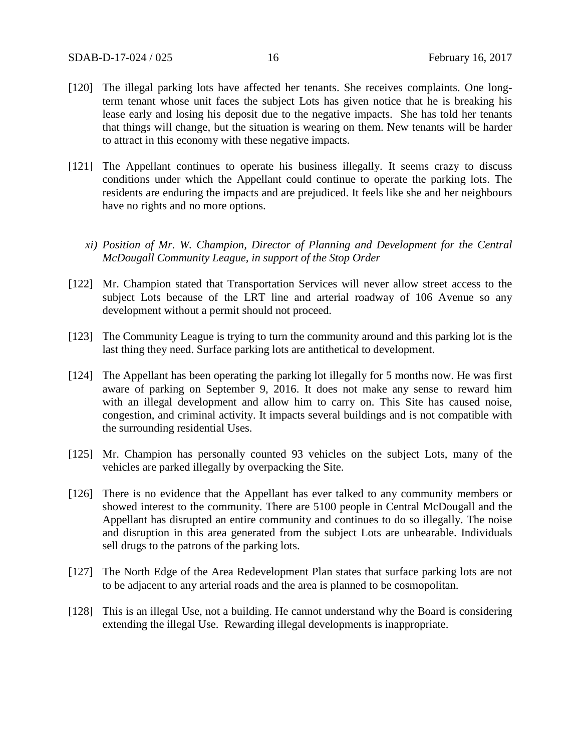- [120] The illegal parking lots have affected her tenants. She receives complaints. One longterm tenant whose unit faces the subject Lots has given notice that he is breaking his lease early and losing his deposit due to the negative impacts. She has told her tenants that things will change, but the situation is wearing on them. New tenants will be harder to attract in this economy with these negative impacts.
- [121] The Appellant continues to operate his business illegally. It seems crazy to discuss conditions under which the Appellant could continue to operate the parking lots. The residents are enduring the impacts and are prejudiced. It feels like she and her neighbours have no rights and no more options.
	- *xi) Position of Mr. W. Champion, Director of Planning and Development for the Central McDougall Community League, in support of the Stop Order*
- [122] Mr. Champion stated that Transportation Services will never allow street access to the subject Lots because of the LRT line and arterial roadway of 106 Avenue so any development without a permit should not proceed.
- [123] The Community League is trying to turn the community around and this parking lot is the last thing they need. Surface parking lots are antithetical to development.
- [124] The Appellant has been operating the parking lot illegally for 5 months now. He was first aware of parking on September 9, 2016. It does not make any sense to reward him with an illegal development and allow him to carry on. This Site has caused noise, congestion, and criminal activity. It impacts several buildings and is not compatible with the surrounding residential Uses.
- [125] Mr. Champion has personally counted 93 vehicles on the subject Lots, many of the vehicles are parked illegally by overpacking the Site.
- [126] There is no evidence that the Appellant has ever talked to any community members or showed interest to the community. There are 5100 people in Central McDougall and the Appellant has disrupted an entire community and continues to do so illegally. The noise and disruption in this area generated from the subject Lots are unbearable. Individuals sell drugs to the patrons of the parking lots.
- [127] The North Edge of the Area Redevelopment Plan states that surface parking lots are not to be adjacent to any arterial roads and the area is planned to be cosmopolitan.
- [128] This is an illegal Use, not a building. He cannot understand why the Board is considering extending the illegal Use. Rewarding illegal developments is inappropriate.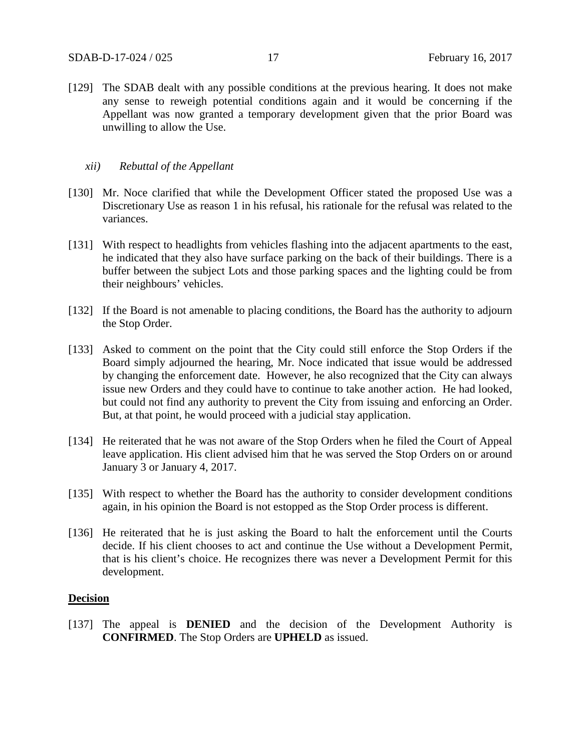[129] The SDAB dealt with any possible conditions at the previous hearing. It does not make any sense to reweigh potential conditions again and it would be concerning if the Appellant was now granted a temporary development given that the prior Board was unwilling to allow the Use.

### *xii) Rebuttal of the Appellant*

- [130] Mr. Noce clarified that while the Development Officer stated the proposed Use was a Discretionary Use as reason 1 in his refusal, his rationale for the refusal was related to the variances.
- [131] With respect to headlights from vehicles flashing into the adjacent apartments to the east, he indicated that they also have surface parking on the back of their buildings. There is a buffer between the subject Lots and those parking spaces and the lighting could be from their neighbours' vehicles.
- [132] If the Board is not amenable to placing conditions, the Board has the authority to adjourn the Stop Order.
- [133] Asked to comment on the point that the City could still enforce the Stop Orders if the Board simply adjourned the hearing, Mr. Noce indicated that issue would be addressed by changing the enforcement date. However, he also recognized that the City can always issue new Orders and they could have to continue to take another action. He had looked, but could not find any authority to prevent the City from issuing and enforcing an Order. But, at that point, he would proceed with a judicial stay application.
- [134] He reiterated that he was not aware of the Stop Orders when he filed the Court of Appeal leave application. His client advised him that he was served the Stop Orders on or around January 3 or January 4, 2017.
- [135] With respect to whether the Board has the authority to consider development conditions again, in his opinion the Board is not estopped as the Stop Order process is different.
- [136] He reiterated that he is just asking the Board to halt the enforcement until the Courts decide. If his client chooses to act and continue the Use without a Development Permit, that is his client's choice. He recognizes there was never a Development Permit for this development.

### **Decision**

[137] The appeal is **DENIED** and the decision of the Development Authority is **CONFIRMED**. The Stop Orders are **UPHELD** as issued.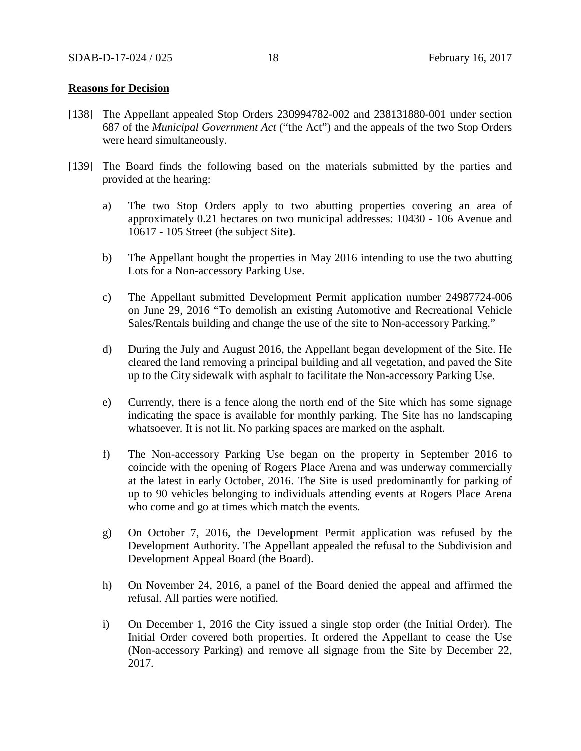### **Reasons for Decision**

- [138] The Appellant appealed Stop Orders 230994782-002 and 238131880-001 under section 687 of the *Municipal Government Act* ("the Act") and the appeals of the two Stop Orders were heard simultaneously.
- [139] The Board finds the following based on the materials submitted by the parties and provided at the hearing:
	- a) The two Stop Orders apply to two abutting properties covering an area of approximately 0.21 hectares on two municipal addresses: 10430 - 106 Avenue and 10617 - 105 Street (the subject Site).
	- b) The Appellant bought the properties in May 2016 intending to use the two abutting Lots for a Non-accessory Parking Use.
	- c) The Appellant submitted Development Permit application number 24987724-006 on June 29, 2016 "To demolish an existing Automotive and Recreational Vehicle Sales/Rentals building and change the use of the site to Non-accessory Parking."
	- d) During the July and August 2016, the Appellant began development of the Site. He cleared the land removing a principal building and all vegetation, and paved the Site up to the City sidewalk with asphalt to facilitate the Non-accessory Parking Use.
	- e) Currently, there is a fence along the north end of the Site which has some signage indicating the space is available for monthly parking. The Site has no landscaping whatsoever. It is not lit. No parking spaces are marked on the asphalt.
	- f) The Non-accessory Parking Use began on the property in September 2016 to coincide with the opening of Rogers Place Arena and was underway commercially at the latest in early October, 2016. The Site is used predominantly for parking of up to 90 vehicles belonging to individuals attending events at Rogers Place Arena who come and go at times which match the events.
	- g) On October 7, 2016, the Development Permit application was refused by the Development Authority. The Appellant appealed the refusal to the Subdivision and Development Appeal Board (the Board).
	- h) On November 24, 2016, a panel of the Board denied the appeal and affirmed the refusal. All parties were notified.
	- i) On December 1, 2016 the City issued a single stop order (the Initial Order). The Initial Order covered both properties. It ordered the Appellant to cease the Use (Non-accessory Parking) and remove all signage from the Site by December 22, 2017.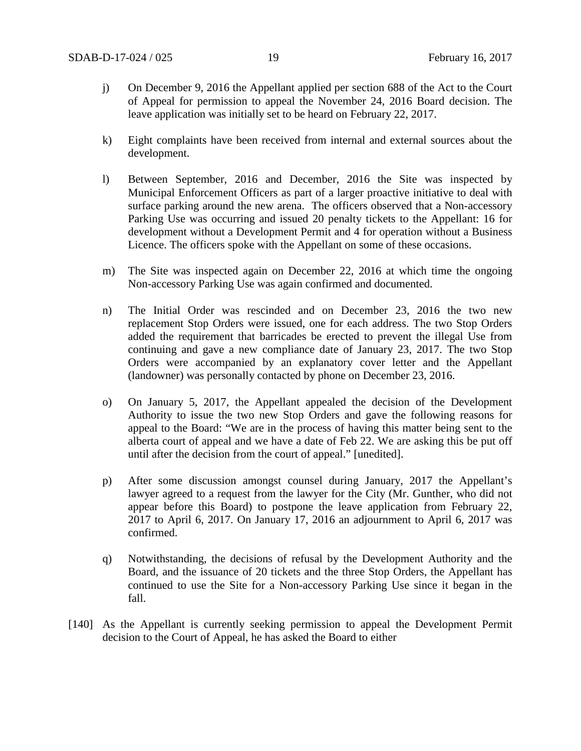- j) On December 9, 2016 the Appellant applied per section 688 of the Act to the Court of Appeal for permission to appeal the November 24, 2016 Board decision. The leave application was initially set to be heard on February 22, 2017.
- k) Eight complaints have been received from internal and external sources about the development.
- l) Between September, 2016 and December, 2016 the Site was inspected by Municipal Enforcement Officers as part of a larger proactive initiative to deal with surface parking around the new arena. The officers observed that a Non-accessory Parking Use was occurring and issued 20 penalty tickets to the Appellant: 16 for development without a Development Permit and 4 for operation without a Business Licence. The officers spoke with the Appellant on some of these occasions.
- m) The Site was inspected again on December 22, 2016 at which time the ongoing Non-accessory Parking Use was again confirmed and documented.
- n) The Initial Order was rescinded and on December 23, 2016 the two new replacement Stop Orders were issued, one for each address. The two Stop Orders added the requirement that barricades be erected to prevent the illegal Use from continuing and gave a new compliance date of January 23, 2017. The two Stop Orders were accompanied by an explanatory cover letter and the Appellant (landowner) was personally contacted by phone on December 23, 2016.
- o) On January 5, 2017, the Appellant appealed the decision of the Development Authority to issue the two new Stop Orders and gave the following reasons for appeal to the Board: "We are in the process of having this matter being sent to the alberta court of appeal and we have a date of Feb 22. We are asking this be put off until after the decision from the court of appeal." [unedited].
- p) After some discussion amongst counsel during January, 2017 the Appellant's lawyer agreed to a request from the lawyer for the City (Mr. Gunther, who did not appear before this Board) to postpone the leave application from February 22, 2017 to April 6, 2017. On January 17, 2016 an adjournment to April 6, 2017 was confirmed.
- q) Notwithstanding, the decisions of refusal by the Development Authority and the Board, and the issuance of 20 tickets and the three Stop Orders, the Appellant has continued to use the Site for a Non-accessory Parking Use since it began in the fall.
- [140] As the Appellant is currently seeking permission to appeal the Development Permit decision to the Court of Appeal, he has asked the Board to either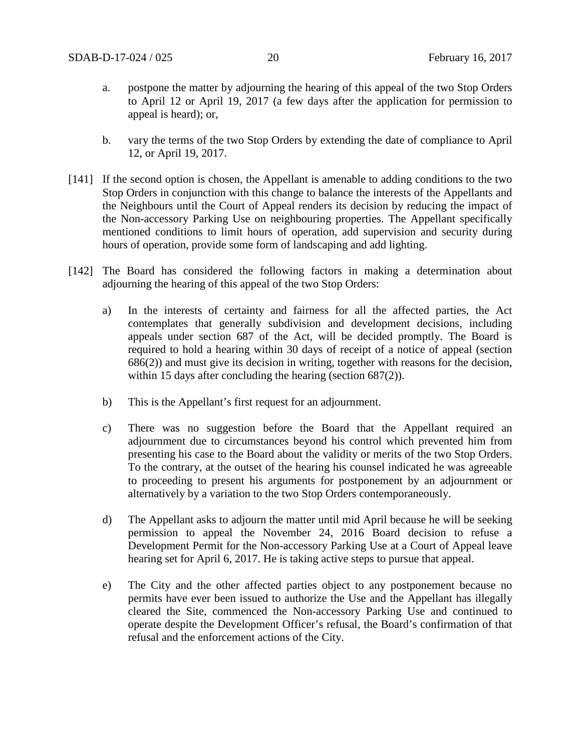- a. postpone the matter by adjourning the hearing of this appeal of the two Stop Orders to April 12 or April 19, 2017 (a few days after the application for permission to appeal is heard); or,
- b. vary the terms of the two Stop Orders by extending the date of compliance to April 12, or April 19, 2017.
- [141] If the second option is chosen, the Appellant is amenable to adding conditions to the two Stop Orders in conjunction with this change to balance the interests of the Appellants and the Neighbours until the Court of Appeal renders its decision by reducing the impact of the Non-accessory Parking Use on neighbouring properties. The Appellant specifically mentioned conditions to limit hours of operation, add supervision and security during hours of operation, provide some form of landscaping and add lighting.
- [142] The Board has considered the following factors in making a determination about adjourning the hearing of this appeal of the two Stop Orders:
	- a) In the interests of certainty and fairness for all the affected parties, the Act contemplates that generally subdivision and development decisions, including appeals under section 687 of the Act, will be decided promptly. The Board is required to hold a hearing within 30 days of receipt of a notice of appeal (section 686(2)) and must give its decision in writing, together with reasons for the decision, within 15 days after concluding the hearing (section 687(2)).
	- b) This is the Appellant's first request for an adjournment.
	- c) There was no suggestion before the Board that the Appellant required an adjournment due to circumstances beyond his control which prevented him from presenting his case to the Board about the validity or merits of the two Stop Orders. To the contrary, at the outset of the hearing his counsel indicated he was agreeable to proceeding to present his arguments for postponement by an adjournment or alternatively by a variation to the two Stop Orders contemporaneously.
	- d) The Appellant asks to adjourn the matter until mid April because he will be seeking permission to appeal the November 24, 2016 Board decision to refuse a Development Permit for the Non-accessory Parking Use at a Court of Appeal leave hearing set for April 6, 2017. He is taking active steps to pursue that appeal.
	- e) The City and the other affected parties object to any postponement because no permits have ever been issued to authorize the Use and the Appellant has illegally cleared the Site, commenced the Non-accessory Parking Use and continued to operate despite the Development Officer's refusal, the Board's confirmation of that refusal and the enforcement actions of the City.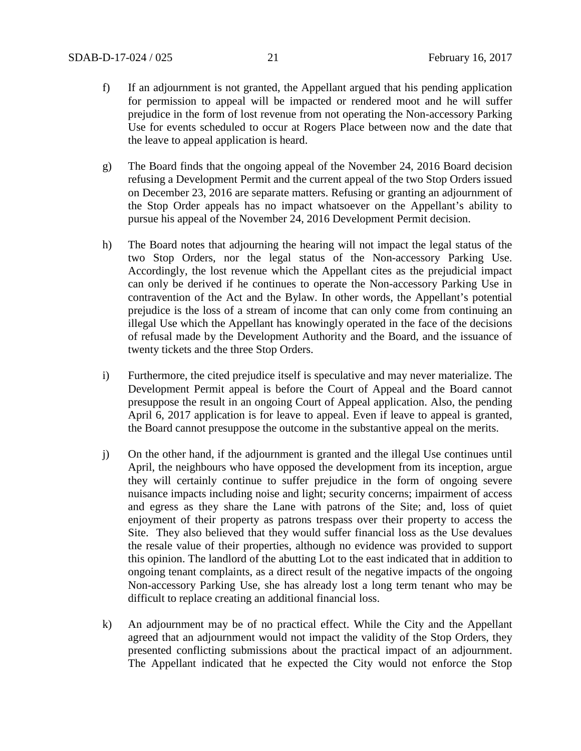- f) If an adjournment is not granted, the Appellant argued that his pending application for permission to appeal will be impacted or rendered moot and he will suffer prejudice in the form of lost revenue from not operating the Non-accessory Parking Use for events scheduled to occur at Rogers Place between now and the date that the leave to appeal application is heard.
- g) The Board finds that the ongoing appeal of the November 24, 2016 Board decision refusing a Development Permit and the current appeal of the two Stop Orders issued on December 23, 2016 are separate matters. Refusing or granting an adjournment of the Stop Order appeals has no impact whatsoever on the Appellant's ability to pursue his appeal of the November 24, 2016 Development Permit decision.
- h) The Board notes that adjourning the hearing will not impact the legal status of the two Stop Orders, nor the legal status of the Non-accessory Parking Use. Accordingly, the lost revenue which the Appellant cites as the prejudicial impact can only be derived if he continues to operate the Non-accessory Parking Use in contravention of the Act and the Bylaw. In other words, the Appellant's potential prejudice is the loss of a stream of income that can only come from continuing an illegal Use which the Appellant has knowingly operated in the face of the decisions of refusal made by the Development Authority and the Board, and the issuance of twenty tickets and the three Stop Orders.
- i) Furthermore, the cited prejudice itself is speculative and may never materialize. The Development Permit appeal is before the Court of Appeal and the Board cannot presuppose the result in an ongoing Court of Appeal application. Also, the pending April 6, 2017 application is for leave to appeal. Even if leave to appeal is granted, the Board cannot presuppose the outcome in the substantive appeal on the merits.
- j) On the other hand, if the adjournment is granted and the illegal Use continues until April, the neighbours who have opposed the development from its inception, argue they will certainly continue to suffer prejudice in the form of ongoing severe nuisance impacts including noise and light; security concerns; impairment of access and egress as they share the Lane with patrons of the Site; and, loss of quiet enjoyment of their property as patrons trespass over their property to access the Site. They also believed that they would suffer financial loss as the Use devalues the resale value of their properties, although no evidence was provided to support this opinion. The landlord of the abutting Lot to the east indicated that in addition to ongoing tenant complaints, as a direct result of the negative impacts of the ongoing Non-accessory Parking Use, she has already lost a long term tenant who may be difficult to replace creating an additional financial loss.
- k) An adjournment may be of no practical effect. While the City and the Appellant agreed that an adjournment would not impact the validity of the Stop Orders, they presented conflicting submissions about the practical impact of an adjournment. The Appellant indicated that he expected the City would not enforce the Stop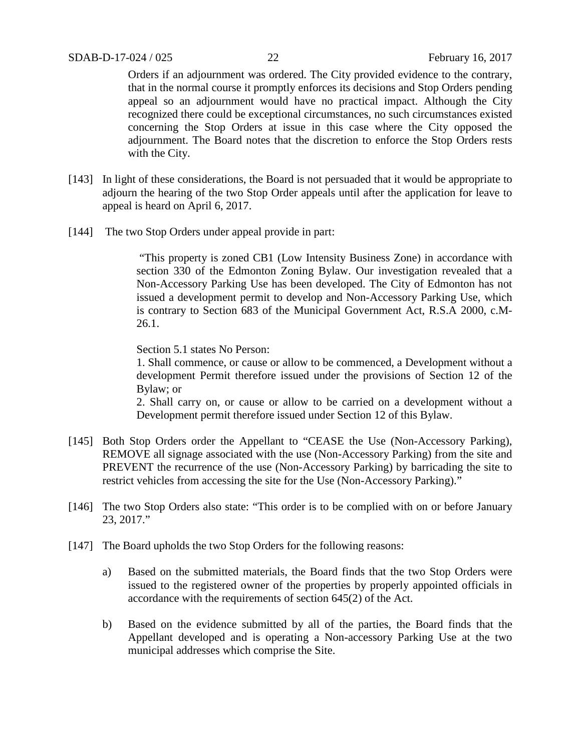Orders if an adjournment was ordered. The City provided evidence to the contrary, that in the normal course it promptly enforces its decisions and Stop Orders pending appeal so an adjournment would have no practical impact. Although the City recognized there could be exceptional circumstances, no such circumstances existed concerning the Stop Orders at issue in this case where the City opposed the adjournment. The Board notes that the discretion to enforce the Stop Orders rests with the City.

- [143] In light of these considerations, the Board is not persuaded that it would be appropriate to adjourn the hearing of the two Stop Order appeals until after the application for leave to appeal is heard on April 6, 2017.
- [144] The two Stop Orders under appeal provide in part:

"This property is zoned CB1 (Low Intensity Business Zone) in accordance with section 330 of the Edmonton Zoning Bylaw. Our investigation revealed that a Non-Accessory Parking Use has been developed. The City of Edmonton has not issued a development permit to develop and Non-Accessory Parking Use, which is contrary to Section 683 of the Municipal Government Act, R.S.A 2000, c.M-26.1.

Section 5.1 states No Person:

1. Shall commence, or cause or allow to be commenced, a Development without a development Permit therefore issued under the provisions of Section 12 of the Bylaw; or

2. Shall carry on, or cause or allow to be carried on a development without a Development permit therefore issued under Section 12 of this Bylaw.

- [145] Both Stop Orders order the Appellant to "CEASE the Use (Non-Accessory Parking), REMOVE all signage associated with the use (Non-Accessory Parking) from the site and PREVENT the recurrence of the use (Non-Accessory Parking) by barricading the site to restrict vehicles from accessing the site for the Use (Non-Accessory Parking)."
- [146] The two Stop Orders also state: "This order is to be complied with on or before January 23, 2017."
- [147] The Board upholds the two Stop Orders for the following reasons:
	- a) Based on the submitted materials, the Board finds that the two Stop Orders were issued to the registered owner of the properties by properly appointed officials in accordance with the requirements of section 645(2) of the Act.
	- b) Based on the evidence submitted by all of the parties, the Board finds that the Appellant developed and is operating a Non-accessory Parking Use at the two municipal addresses which comprise the Site.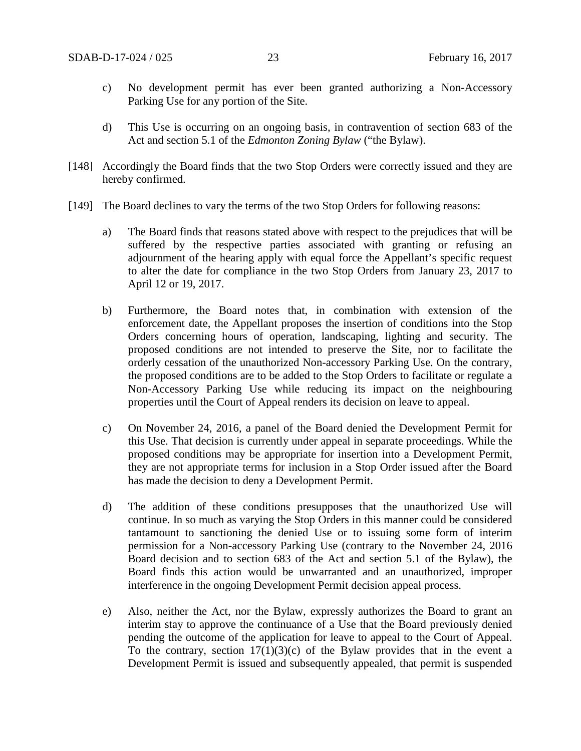- c) No development permit has ever been granted authorizing a Non-Accessory Parking Use for any portion of the Site.
- d) This Use is occurring on an ongoing basis, in contravention of section 683 of the Act and section 5.1 of the *Edmonton Zoning Bylaw* ("the Bylaw).
- [148] Accordingly the Board finds that the two Stop Orders were correctly issued and they are hereby confirmed.
- [149] The Board declines to vary the terms of the two Stop Orders for following reasons:
	- a) The Board finds that reasons stated above with respect to the prejudices that will be suffered by the respective parties associated with granting or refusing an adjournment of the hearing apply with equal force the Appellant's specific request to alter the date for compliance in the two Stop Orders from January 23, 2017 to April 12 or 19, 2017.
	- b) Furthermore, the Board notes that, in combination with extension of the enforcement date, the Appellant proposes the insertion of conditions into the Stop Orders concerning hours of operation, landscaping, lighting and security. The proposed conditions are not intended to preserve the Site, nor to facilitate the orderly cessation of the unauthorized Non-accessory Parking Use. On the contrary, the proposed conditions are to be added to the Stop Orders to facilitate or regulate a Non-Accessory Parking Use while reducing its impact on the neighbouring properties until the Court of Appeal renders its decision on leave to appeal.
	- c) On November 24, 2016, a panel of the Board denied the Development Permit for this Use. That decision is currently under appeal in separate proceedings. While the proposed conditions may be appropriate for insertion into a Development Permit, they are not appropriate terms for inclusion in a Stop Order issued after the Board has made the decision to deny a Development Permit.
	- d) The addition of these conditions presupposes that the unauthorized Use will continue. In so much as varying the Stop Orders in this manner could be considered tantamount to sanctioning the denied Use or to issuing some form of interim permission for a Non-accessory Parking Use (contrary to the November 24, 2016 Board decision and to section 683 of the Act and section 5.1 of the Bylaw), the Board finds this action would be unwarranted and an unauthorized, improper interference in the ongoing Development Permit decision appeal process.
	- e) Also, neither the Act, nor the Bylaw, expressly authorizes the Board to grant an interim stay to approve the continuance of a Use that the Board previously denied pending the outcome of the application for leave to appeal to the Court of Appeal. To the contrary, section  $17(1)(3)(c)$  of the Bylaw provides that in the event a Development Permit is issued and subsequently appealed, that permit is suspended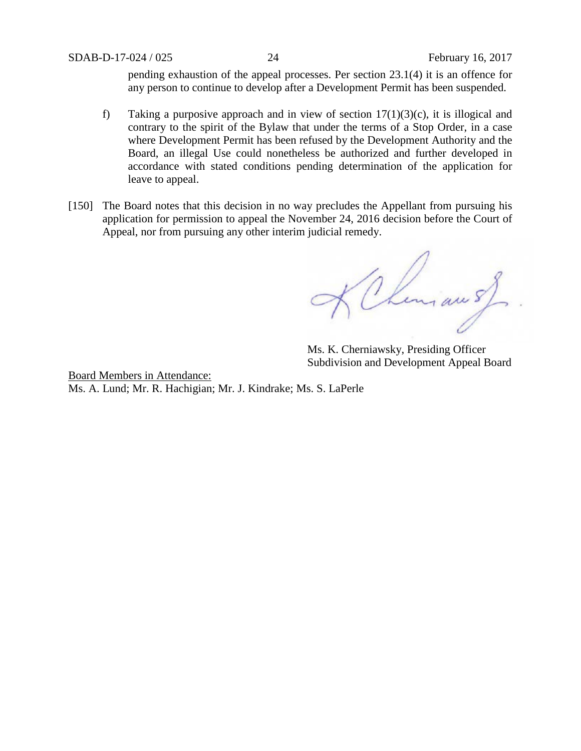pending exhaustion of the appeal processes. Per section 23.1(4) it is an offence for any person to continue to develop after a Development Permit has been suspended.

- f) Taking a purposive approach and in view of section  $17(1)(3)(c)$ , it is illogical and contrary to the spirit of the Bylaw that under the terms of a Stop Order, in a case where Development Permit has been refused by the Development Authority and the Board, an illegal Use could nonetheless be authorized and further developed in accordance with stated conditions pending determination of the application for leave to appeal.
- [150] The Board notes that this decision in no way precludes the Appellant from pursuing his application for permission to appeal the November 24, 2016 decision before the Court of Appeal, nor from pursuing any other interim judicial remedy.

KChinian 5)

Ms. K. Cherniawsky, Presiding Officer Subdivision and Development Appeal Board

Board Members in Attendance: Ms. A. Lund; Mr. R. Hachigian; Mr. J. Kindrake; Ms. S. LaPerle